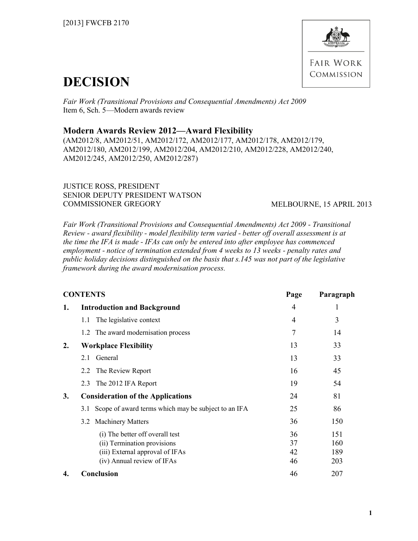

# **DECISION**

*Fair Work (Transitional Provisions and Consequential Amendments) Act 2009*  Item 6, Sch. 5—Modern awards review

## **Modern Awards Review 2012—Award Flexibility**

(AM2012/8, AM2012/51, AM2012/172, AM2012/177, AM2012/178, AM2012/179, AM2012/180, AM2012/199, AM2012/204, AM2012/210, AM2012/228, AM2012/240, AM2012/245, AM2012/250, AM2012/287)

JUSTICE ROSS, PRESIDENT SENIOR DEPUTY PRESIDENT WATSON COMMISSIONER GREGORY MELBOURNE, 15 APRIL 2013

*Fair Work (Transitional Provisions and Consequential Amendments) Act 2009 - Transitional Review - award flexibility - model flexibility term varied - better off overall assessment is at the time the IFA is made - IFAs can only be entered into after employee has commenced employment - notice of termination extended from 4 weeks to 13 weeks - penalty rates and public holiday decisions distinguished on the basis that s.145 was not part of the legislative framework during the award modernisation process.*

| <b>CONTENTS</b> |                                                                                                                                 | Page                 | Paragraph                |
|-----------------|---------------------------------------------------------------------------------------------------------------------------------|----------------------|--------------------------|
| 1.              | <b>Introduction and Background</b>                                                                                              | $\overline{4}$       | 1                        |
|                 | The legislative context<br>1.1                                                                                                  | $\overline{4}$       | 3                        |
|                 | The award modernisation process<br>1.2                                                                                          | 7                    | 14                       |
| 2.              | <b>Workplace Flexibility</b>                                                                                                    | 13                   | 33                       |
|                 | General<br>2.1                                                                                                                  | 13                   | 33                       |
|                 | The Review Report<br>2.2                                                                                                        | 16                   | 45                       |
|                 | The 2012 IFA Report<br>2.3                                                                                                      | 19                   | 54                       |
| 3.              | <b>Consideration of the Applications</b>                                                                                        | 24                   | 81                       |
|                 | Scope of award terms which may be subject to an IFA<br>3.1                                                                      | 25                   | 86                       |
|                 | 3.2 Machinery Matters                                                                                                           | 36                   | 150                      |
|                 | (i) The better off overall test<br>(ii) Termination provisions<br>(iii) External approval of IFAs<br>(iv) Annual review of IFAs | 36<br>37<br>42<br>46 | 151<br>160<br>189<br>203 |
| 4.              | <b>Conclusion</b>                                                                                                               | 46                   | 207                      |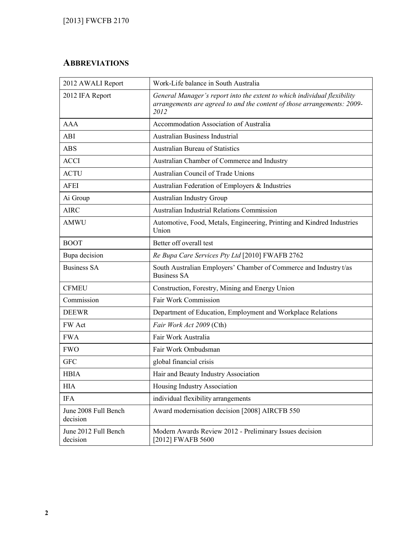# **ABBREVIATIONS**

| 2012 AWALI Report                | Work-Life balance in South Australia                                                                                                                        |
|----------------------------------|-------------------------------------------------------------------------------------------------------------------------------------------------------------|
| 2012 IFA Report                  | General Manager's report into the extent to which individual flexibility<br>arrangements are agreed to and the content of those arrangements: 2009-<br>2012 |
| <b>AAA</b>                       | Accommodation Association of Australia                                                                                                                      |
| <b>ABI</b>                       | Australian Business Industrial                                                                                                                              |
| <b>ABS</b>                       | <b>Australian Bureau of Statistics</b>                                                                                                                      |
| <b>ACCI</b>                      | Australian Chamber of Commerce and Industry                                                                                                                 |
| <b>ACTU</b>                      | Australian Council of Trade Unions                                                                                                                          |
| <b>AFEI</b>                      | Australian Federation of Employers & Industries                                                                                                             |
| Ai Group                         | <b>Australian Industry Group</b>                                                                                                                            |
| <b>AIRC</b>                      | Australian Industrial Relations Commission                                                                                                                  |
| <b>AMWU</b>                      | Automotive, Food, Metals, Engineering, Printing and Kindred Industries<br>Union                                                                             |
| <b>BOOT</b>                      | Better off overall test                                                                                                                                     |
| Bupa decision                    | Re Bupa Care Services Pty Ltd [2010] FWAFB 2762                                                                                                             |
| <b>Business SA</b>               | South Australian Employers' Chamber of Commerce and Industry t/as<br><b>Business SA</b>                                                                     |
| <b>CFMEU</b>                     | Construction, Forestry, Mining and Energy Union                                                                                                             |
| Commission                       | Fair Work Commission                                                                                                                                        |
| <b>DEEWR</b>                     | Department of Education, Employment and Workplace Relations                                                                                                 |
| FW Act                           | Fair Work Act 2009 (Cth)                                                                                                                                    |
| <b>FWA</b>                       | Fair Work Australia                                                                                                                                         |
| <b>FWO</b>                       | Fair Work Ombudsman                                                                                                                                         |
| <b>GFC</b>                       | global financial crisis                                                                                                                                     |
| <b>HBIA</b>                      | Hair and Beauty Industry Association                                                                                                                        |
| <b>HIA</b>                       | Housing Industry Association                                                                                                                                |
| <b>IFA</b>                       | individual flexibility arrangements                                                                                                                         |
| June 2008 Full Bench<br>decision | Award modernisation decision [2008] AIRCFB 550                                                                                                              |
| June 2012 Full Bench<br>decision | Modern Awards Review 2012 - Preliminary Issues decision<br>[2012] FWAFB 5600                                                                                |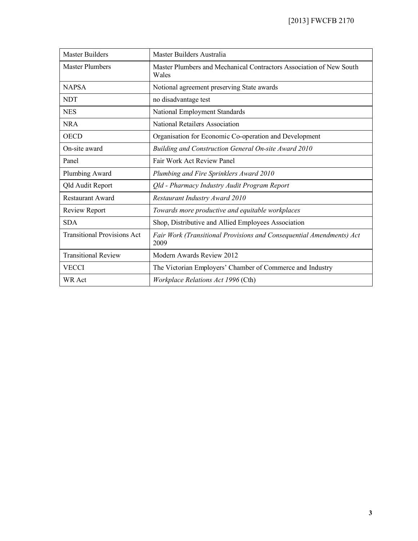| <b>Master Builders</b>             | Master Builders Australia                                                    |
|------------------------------------|------------------------------------------------------------------------------|
| <b>Master Plumbers</b>             | Master Plumbers and Mechanical Contractors Association of New South<br>Wales |
| <b>NAPSA</b>                       | Notional agreement preserving State awards                                   |
| <b>NDT</b>                         | no disadvantage test                                                         |
| <b>NES</b>                         | National Employment Standards                                                |
| <b>NRA</b>                         | National Retailers Association                                               |
| <b>OECD</b>                        | Organisation for Economic Co-operation and Development                       |
| On-site award                      | Building and Construction General On-site Award 2010                         |
| Panel                              | Fair Work Act Review Panel                                                   |
| Plumbing Award                     | Plumbing and Fire Sprinklers Award 2010                                      |
| <b>Qld Audit Report</b>            | Qld - Pharmacy Industry Audit Program Report                                 |
| <b>Restaurant Award</b>            | Restaurant Industry Award 2010                                               |
| Review Report                      | Towards more productive and equitable workplaces                             |
| <b>SDA</b>                         | Shop, Distributive and Allied Employees Association                          |
| <b>Transitional Provisions Act</b> | Fair Work (Transitional Provisions and Consequential Amendments) Act<br>2009 |
| <b>Transitional Review</b>         | Modern Awards Review 2012                                                    |
| <b>VECCI</b>                       | The Victorian Employers' Chamber of Commerce and Industry                    |
| <b>WR</b> Act                      | Workplace Relations Act 1996 (Cth)                                           |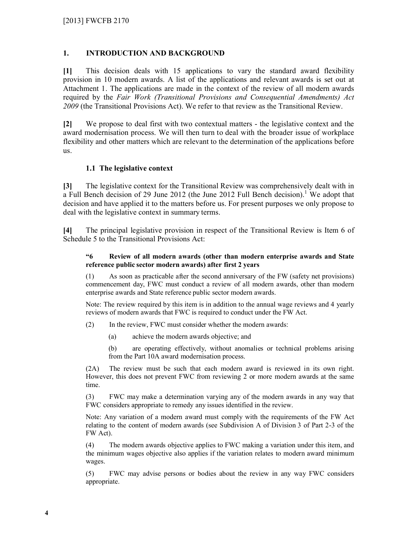## **1. INTRODUCTION AND BACKGROUND**

**[1]** This decision deals with 15 applications to vary the standard award flexibility provision in 10 modern awards. A list of the applications and relevant awards is set out at Attachment 1. The applications are made in the context of the review of all modern awards required by the *Fair Work (Transitional Provisions and Consequential Amendments) Act 2009* (the Transitional Provisions Act). We refer to that review as the Transitional Review.

**[2]** We propose to deal first with two contextual matters - the legislative context and the award modernisation process. We will then turn to deal with the broader issue of workplace flexibility and other matters which are relevant to the determination of the applications before us.

## **1.1 The legislative context**

**[3]** The legislative context for the Transitional Review was comprehensively dealt with in a Full Bench decision of 29 June 2012 (the June 2012 Full Bench decision).<sup>1</sup> We adopt that decision and have applied it to the matters before us. For present purposes we only propose to deal with the legislative context in summary terms.

**[4]** The principal legislative provision in respect of the Transitional Review is Item 6 of Schedule 5 to the Transitional Provisions Act:

### **"6 Review of all modern awards (other than modern enterprise awards and State reference public sector modern awards) after first 2 years**

(1) As soon as practicable after the second anniversary of the FW (safety net provisions) commencement day, FWC must conduct a review of all modern awards, other than modern enterprise awards and State reference public sector modern awards.

Note: The review required by this item is in addition to the annual wage reviews and 4 yearly reviews of modern awards that FWC is required to conduct under the FW Act.

(2) In the review, FWC must consider whether the modern awards:

(a) achieve the modern awards objective; and

(b) are operating effectively, without anomalies or technical problems arising from the Part 10A award modernisation process.

(2A) The review must be such that each modern award is reviewed in its own right. However, this does not prevent FWC from reviewing 2 or more modern awards at the same time.

(3) FWC may make a determination varying any of the modern awards in any way that FWC considers appropriate to remedy any issues identified in the review.

Note: Any variation of a modern award must comply with the requirements of the FW Act relating to the content of modern awards (see Subdivision A of Division 3 of Part 2-3 of the FW Act).

(4) The modern awards objective applies to FWC making a variation under this item, and the minimum wages objective also applies if the variation relates to modern award minimum wages.

(5) FWC may advise persons or bodies about the review in any way FWC considers appropriate.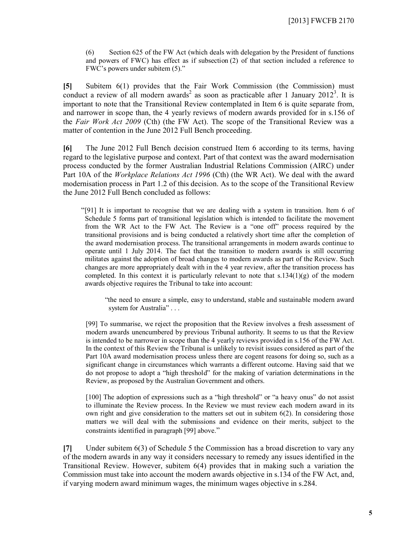(6) Section 625 of the FW Act (which deals with delegation by the President of functions and powers of FWC) has effect as if subsection (2) of that section included a reference to FWC's powers under subitem (5)."

**[5]** Subitem 6(1) provides that the Fair Work Commission (the Commission) must conduct a review of all modern awards<sup>2</sup> as soon as practicable after 1 January 2012<sup>3</sup>. It is important to note that the Transitional Review contemplated in Item 6 is quite separate from, and narrower in scope than, the 4 yearly reviews of modern awards provided for in s.156 of the *Fair Work Act 2009* (Cth) (the FW Act). The scope of the Transitional Review was a matter of contention in the June 2012 Full Bench proceeding.

**[6]** The June 2012 Full Bench decision construed Item 6 according to its terms, having regard to the legislative purpose and context. Part of that context was the award modernisation process conducted by the former Australian Industrial Relations Commission (AIRC) under Part 10A of the *Workplace Relations Act 1996* (Cth) (the WR Act). We deal with the award modernisation process in Part 1.2 of this decision. As to the scope of the Transitional Review the June 2012 Full Bench concluded as follows:

"[91] It is important to recognise that we are dealing with a system in transition. Item 6 of Schedule 5 forms part of transitional legislation which is intended to facilitate the movement from the WR Act to the FW Act. The Review is a "one off" process required by the transitional provisions and is being conducted a relatively short time after the completion of the award modernisation process. The transitional arrangements in modern awards continue to operate until 1 July 2014. The fact that the transition to modern awards is still occurring militates against the adoption of broad changes to modern awards as part of the Review. Such changes are more appropriately dealt with in the 4 year review, after the transition process has completed. In this context it is particularly relevant to note that  $s.134(1)(g)$  of the modern awards objective requires the Tribunal to take into account:

"the need to ensure a simple, easy to understand, stable and sustainable modern award system for Australia" . . .

[99] To summarise, we reject the proposition that the Review involves a fresh assessment of modern awards unencumbered by previous Tribunal authority. It seems to us that the Review is intended to be narrower in scope than the 4 yearly reviews provided in s.156 of the FW Act. In the context of this Review the Tribunal is unlikely to revisit issues considered as part of the Part 10A award modernisation process unless there are cogent reasons for doing so, such as a significant change in circumstances which warrants a different outcome. Having said that we do not propose to adopt a "high threshold" for the making of variation determinations in the Review, as proposed by the Australian Government and others.

[100] The adoption of expressions such as a "high threshold" or "a heavy onus" do not assist to illuminate the Review process. In the Review we must review each modern award in its own right and give consideration to the matters set out in subitem 6(2). In considering those matters we will deal with the submissions and evidence on their merits, subject to the constraints identified in paragraph [99] above."

**[7]** Under subitem 6(3) of Schedule 5 the Commission has a broad discretion to vary any of the modern awards in any way it considers necessary to remedy any issues identified in the Transitional Review. However, subitem 6(4) provides that in making such a variation the Commission must take into account the modern awards objective in s.134 of the FW Act, and, if varying modern award minimum wages, the minimum wages objective in s.284.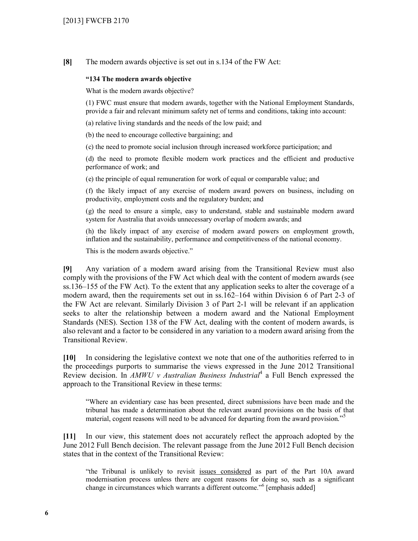**[8]** The modern awards objective is set out in s.134 of the FW Act:

#### **"134 The modern awards objective**

What is the modern awards objective?

(1) FWC must ensure that modern awards, together with the National Employment Standards, provide a fair and relevant minimum safety net of terms and conditions, taking into account:

(a) relative living standards and the needs of the low paid; and

(b) the need to encourage collective bargaining; and

(c) the need to promote social inclusion through increased workforce participation; and

(d) the need to promote flexible modern work practices and the efficient and productive performance of work; and

(e) the principle of equal remuneration for work of equal or comparable value; and

(f) the likely impact of any exercise of modern award powers on business, including on productivity, employment costs and the regulatory burden; and

(g) the need to ensure a simple, easy to understand, stable and sustainable modern award system for Australia that avoids unnecessary overlap of modern awards; and

(h) the likely impact of any exercise of modern award powers on employment growth, inflation and the sustainability, performance and competitiveness of the national economy.

This is the modern awards objective."

**[9]** Any variation of a modern award arising from the Transitional Review must also comply with the provisions of the FW Act which deal with the content of modern awards (see ss.136–155 of the FW Act). To the extent that any application seeks to alter the coverage of a modern award, then the requirements set out in ss.162–164 within Division 6 of Part 2-3 of the FW Act are relevant. Similarly Division 3 of Part 2-1 will be relevant if an application seeks to alter the relationship between a modern award and the National Employment Standards (NES). Section 138 of the FW Act, dealing with the content of modern awards, is also relevant and a factor to be considered in any variation to a modern award arising from the Transitional Review.

**[10]** In considering the legislative context we note that one of the authorities referred to in the proceedings purports to summarise the views expressed in the June 2012 Transitional Review decision. In *AMWU v Australian Business Industrial*<sup>4</sup> a Full Bench expressed the approach to the Transitional Review in these terms:

"Where an evidentiary case has been presented, direct submissions have been made and the tribunal has made a determination about the relevant award provisions on the basis of that material, cogent reasons will need to be advanced for departing from the award provision."<sup>5</sup>

**[11]** In our view, this statement does not accurately reflect the approach adopted by the June 2012 Full Bench decision. The relevant passage from the June 2012 Full Bench decision states that in the context of the Transitional Review:

"the Tribunal is unlikely to revisit issues considered as part of the Part 10A award modernisation process unless there are cogent reasons for doing so, such as a significant change in circumstances which warrants a different outcome."<sup>6</sup> [emphasis added]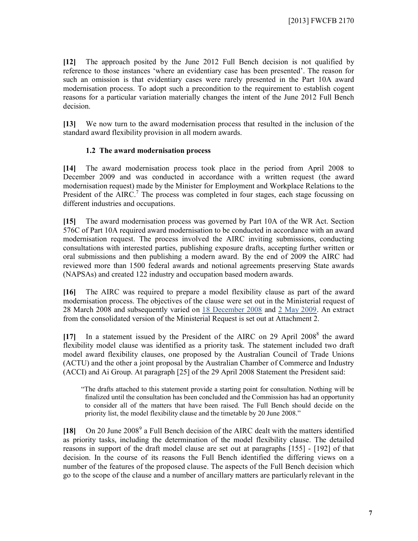**[12]** The approach posited by the June 2012 Full Bench decision is not qualified by reference to those instances 'where an evidentiary case has been presented'. The reason for such an omission is that evidentiary cases were rarely presented in the Part 10A award modernisation process. To adopt such a precondition to the requirement to establish cogent reasons for a particular variation materially changes the intent of the June 2012 Full Bench decision.

**[13]** We now turn to the award modernisation process that resulted in the inclusion of the standard award flexibility provision in all modern awards.

## **1.2 The award modernisation process**

**[14]** The award modernisation process took place in the period from April 2008 to December 2009 and was conducted in accordance with a written request (the award modernisation request) made by the Minister for Employment and Workplace Relations to the President of the AIRC.<sup>7</sup> The process was completed in four stages, each stage focussing on different industries and occupations.

**[15]** The award modernisation process was governed by Part 10A of the WR Act. Section 576C of Part 10A required award modernisation to be conducted in accordance with an award modernisation request. The process involved the AIRC inviting submissions, conducting consultations with interested parties, publishing exposure drafts, accepting further written or oral submissions and then publishing a modern award. By the end of 2009 the AIRC had reviewed more than 1500 federal awards and notional agreements preserving State awards (NAPSAs) and created 122 industry and occupation based modern awards.

**[16]** The AIRC was required to prepare a model flexibility clause as part of the award modernisation process. The objectives of the clause were set out in the Ministerial request of 28 March 2008 and subsequently varied on 18 December 2008 and 2 May 2009. An extract from the consolidated version of the Ministerial Request is set out at Attachment 2.

[17] In a statement issued by the President of the AIRC on 29 April 2008<sup>8</sup> the award flexibility model clause was identified as a priority task. The statement included two draft model award flexibility clauses, one proposed by the Australian Council of Trade Unions (ACTU) and the other a joint proposal by the Australian Chamber of Commerce and Industry (ACCI) and Ai Group. At paragraph [25] of the 29 April 2008 Statement the President said:

"The drafts attached to this statement provide a starting point for consultation. Nothing will be finalized until the consultation has been concluded and the Commission has had an opportunity to consider all of the matters that have been raised. The Full Bench should decide on the priority list, the model flexibility clause and the timetable by 20 June 2008."

[18] On 20 June 2008<sup>9</sup> a Full Bench decision of the AIRC dealt with the matters identified as priority tasks, including the determination of the model flexibility clause. The detailed reasons in support of the draft model clause are set out at paragraphs [155] - [192] of that decision. In the course of its reasons the Full Bench identified the differing views on a number of the features of the proposed clause. The aspects of the Full Bench decision which go to the scope of the clause and a number of ancillary matters are particularly relevant in the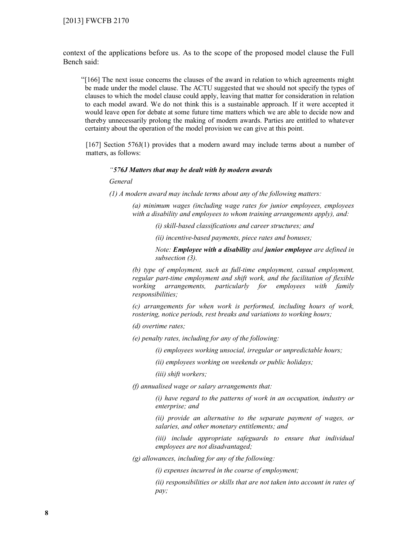context of the applications before us. As to the scope of the proposed model clause the Full Bench said:

"[166] The next issue concerns the clauses of the award in relation to which agreements might be made under the model clause. The ACTU suggested that we should not specify the types of clauses to which the model clause could apply, leaving that matter for consideration in relation to each model award. We do not think this is a sustainable approach. If it were accepted it would leave open for debate at some future time matters which we are able to decide now and thereby unnecessarily prolong the making of modern awards. Parties are entitled to whatever certainty about the operation of the model provision we can give at this point.

[167] Section 576J(1) provides that a modern award may include terms about a number of matters, as follows:

#### *"576J Matters that may be dealt with by modern awards*

*General*

*(1) A modern award may include terms about any of the following matters:*

*(a) minimum wages (including wage rates for junior employees, employees with a disability and employees to whom training arrangements apply), and:*

*(i) skill-based classifications and career structures; and*

*(ii) incentive-based payments, piece rates and bonuses;*

*Note: Employee with a disability and junior employee are defined in subsection (3).*

*(b) type of employment, such as full-time employment, casual employment, regular part-time employment and shift work, and the facilitation of flexible working arrangements, particularly for employees with family responsibilities;*

*(c) arrangements for when work is performed, including hours of work, rostering, notice periods, rest breaks and variations to working hours;*

*(d) overtime rates;*

*(e) penalty rates, including for any of the following:*

*(i) employees working unsocial, irregular or unpredictable hours;*

*(ii) employees working on weekends or public holidays;*

*(iii) shift workers;*

*(f) annualised wage or salary arrangements that:*

*(i) have regard to the patterns of work in an occupation, industry or enterprise; and*

*(ii) provide an alternative to the separate payment of wages, or salaries, and other monetary entitlements; and*

*(iii) include appropriate safeguards to ensure that individual employees are not disadvantaged;*

*(g) allowances, including for any of the following:*

*(i) expenses incurred in the course of employment;*

*(ii) responsibilities or skills that are not taken into account in rates of pay;*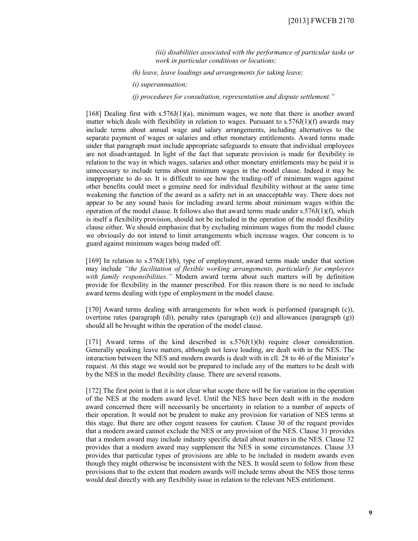*(iii) disabilities associated with the performance of particular tasks or work in particular conditions or locations;*

*(h) leave, leave loadings and arrangements for taking leave;*

*(i) superannuation;*

*(j) procedures for consultation, representation and dispute settlement."*

[168] Dealing first with  $s.576J(1)(a)$ , minimum wages, we note that there is another award matter which deals with flexibility in relation to wages. Pursuant to  $s.576J(1)(f)$  awards may include terms about annual wage and salary arrangements, including alternatives to the separate payment of wages or salaries and other monetary entitlements. Award terms made under that paragraph must include appropriate safeguards to ensure that individual employees are not disadvantaged. In light of the fact that separate provision is made for flexibility in relation to the way in which wages, salaries and other monetary entitlements may be paid it is unnecessary to include terms about minimum wages in the model clause. Indeed it may be inappropriate to do so. It is difficult to see how the trading-off of minimum wages against other benefits could meet a genuine need for individual flexibility without at the same time weakening the function of the award as a safety net in an unacceptable way. There does not appear to be any sound basis for including award terms about minimum wages within the operation of the model clause. It follows also that award terms made under  $s.576J(1)(f)$ , which is itself a flexibility provision, should not be included in the operation of the model flexibility clause either. We should emphasize that by excluding minimum wages from the model clause we obviously do not intend to limit arrangements which increase wages. Our concern is to guard against minimum wages being traded off.

[169] In relation to  $s.576J(1)(b)$ , type of employment, award terms made under that section may include *"the facilitation of flexible working arrangements, particularly for employees with family responsibilities*.*"* Modern award terms about such matters will by definition provide for flexibility in the manner prescribed. For this reason there is no need to include award terms dealing with type of employment in the model clause.

[170] Award terms dealing with arrangements for when work is performed (paragraph (c)), overtime rates (paragraph (d)), penalty rates (paragraph  $(e)$ ) and allowances (paragraph  $(g)$ ) should all be brought within the operation of the model clause.

[171] Award terms of the kind described in  $s.576J(1)(h)$  require closer consideration. Generally speaking leave matters, although not leave loading, are dealt with in the NES. The interaction between the NES and modern awards is dealt with in cll. 28 to 46 of the Minister's request. At this stage we would not be prepared to include any of the matters to be dealt with by the NES in the model flexibility clause. There are several reasons.

[172] The first point is that it is not clear what scope there will be for variation in the operation of the NES at the modern award level. Until the NES have been dealt with in the modern award concerned there will necessarily be uncertainty in relation to a number of aspects of their operation. It would not be prudent to make any provision for variation of NES terms at this stage. But there are other cogent reasons for caution. Clause 30 of the request provides that a modern award cannot exclude the NES or any provision of the NES. Clause 31 provides that a modern award may include industry specific detail about matters in the NES. Clause 32 provides that a modern award may supplement the NES in some circumstances. Clause 33 provides that particular types of provisions are able to be included in modern awards even though they might otherwise be inconsistent with the NES. It would seem to follow from these provisions that to the extent that modern awards will include terms about the NES those terms would deal directly with any flexibility issue in relation to the relevant NES entitlement.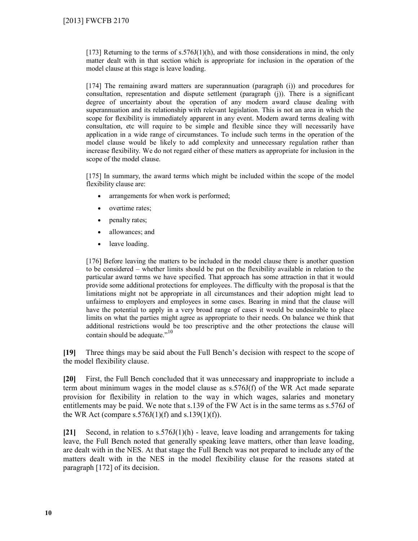$[173]$  Returning to the terms of s.576J(1)(h), and with those considerations in mind, the only matter dealt with in that section which is appropriate for inclusion in the operation of the model clause at this stage is leave loading.

[174] The remaining award matters are superannuation (paragraph (i)) and procedures for consultation, representation and dispute settlement (paragraph (j)). There is a significant degree of uncertainty about the operation of any modern award clause dealing with superannuation and its relationship with relevant legislation. This is not an area in which the scope for flexibility is immediately apparent in any event. Modern award terms dealing with consultation, etc will require to be simple and flexible since they will necessarily have application in a wide range of circumstances. To include such terms in the operation of the model clause would be likely to add complexity and unnecessary regulation rather than increase flexibility. We do not regard either of these matters as appropriate for inclusion in the scope of the model clause.

[175] In summary, the award terms which might be included within the scope of the model flexibility clause are:

- arrangements for when work is performed;
- overtime rates;
- penalty rates;
- allowances; and
- leave loading.

[176] Before leaving the matters to be included in the model clause there is another question to be considered – whether limits should be put on the flexibility available in relation to the particular award terms we have specified. That approach has some attraction in that it would provide some additional protections for employees. The difficulty with the proposal is that the limitations might not be appropriate in all circumstances and their adoption might lead to unfairness to employers and employees in some cases. Bearing in mind that the clause will have the potential to apply in a very broad range of cases it would be undesirable to place limits on what the parties might agree as appropriate to their needs. On balance we think that additional restrictions would be too prescriptive and the other protections the clause will contain should be adequate."<sup>10</sup>

**[19]** Three things may be said about the Full Bench's decision with respect to the scope of the model flexibility clause.

**[20]** First, the Full Bench concluded that it was unnecessary and inappropriate to include a term about minimum wages in the model clause as s.576J(f) of the WR Act made separate provision for flexibility in relation to the way in which wages, salaries and monetary entitlements may be paid. We note that s.139 of the FW Act is in the same terms as s.576J of the WR Act (compare s.576J(1)(f) and s.139(1)(f)).

**[21]** Second, in relation to s.576J(1)(h) - leave, leave loading and arrangements for taking leave, the Full Bench noted that generally speaking leave matters, other than leave loading, are dealt with in the NES. At that stage the Full Bench was not prepared to include any of the matters dealt with in the NES in the model flexibility clause for the reasons stated at paragraph [172] of its decision.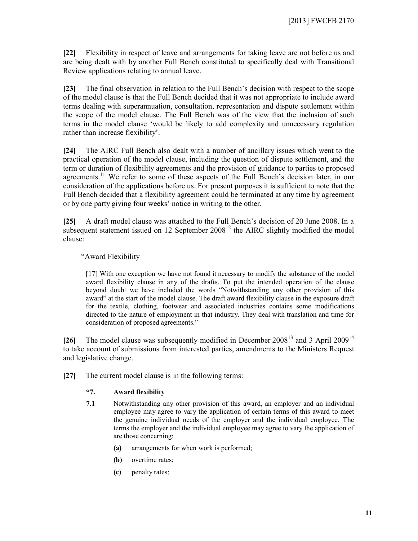**[22]** Flexibility in respect of leave and arrangements for taking leave are not before us and are being dealt with by another Full Bench constituted to specifically deal with Transitional Review applications relating to annual leave.

**[23]** The final observation in relation to the Full Bench's decision with respect to the scope of the model clause is that the Full Bench decided that it was not appropriate to include award terms dealing with superannuation, consultation, representation and dispute settlement within the scope of the model clause. The Full Bench was of the view that the inclusion of such terms in the model clause 'would be likely to add complexity and unnecessary regulation rather than increase flexibility'.

**[24]** The AIRC Full Bench also dealt with a number of ancillary issues which went to the practical operation of the model clause, including the question of dispute settlement, and the term or duration of flexibility agreements and the provision of guidance to parties to proposed agreements.<sup>11</sup> We refer to some of these aspects of the Full Bench's decision later, in our consideration of the applications before us. For present purposes it is sufficient to note that the Full Bench decided that a flexibility agreement could be terminated at any time by agreement or by one party giving four weeks' notice in writing to the other.

**[25]** A draft model clause was attached to the Full Bench's decision of 20 June 2008. In a subsequent statement issued on  $12$  September  $2008^{12}$  the AIRC slightly modified the model clause:

## "Award Flexibility

[17] With one exception we have not found it necessary to modify the substance of the model award flexibility clause in any of the drafts. To put the intended operation of the clause beyond doubt we have included the words "Notwithstanding any other provision of this award" at the start of the model clause. The draft award flexibility clause in the exposure draft for the textile, clothing, footwear and associated industries contains some modifications directed to the nature of employment in that industry. They deal with translation and time for consideration of proposed agreements."

**[26]** The model clause was subsequently modified in December 2008<sup>13</sup> and 3 April 2009<sup>14</sup> to take account of submissions from interested parties, amendments to the Ministers Request and legislative change.

**[27]** The current model clause is in the following terms:

## **"7. Award flexibility**

- **7.1** Notwithstanding any other provision of this award, an employer and an individual employee may agree to vary the application of certain terms of this award to meet the genuine individual needs of the employer and the individual employee. The terms the employer and the individual employee may agree to vary the application of are those concerning:
	- **(a)** arrangements for when work is performed;
	- **(b)** overtime rates;
	- **(c)** penalty rates;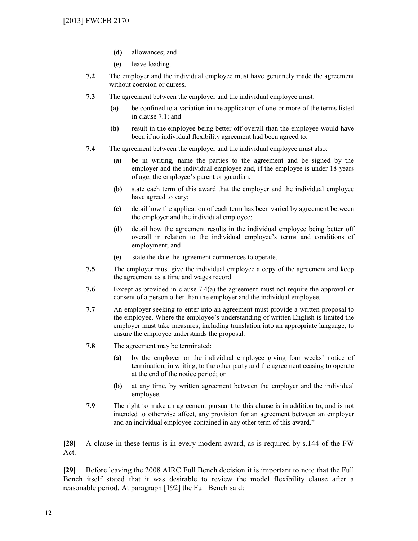- **(d)** allowances; and
- **(e)** leave loading.
- **7.2** The employer and the individual employee must have genuinely made the agreement without coercion or duress.
- **7.3** The agreement between the employer and the individual employee must:
	- **(a)** be confined to a variation in the application of one or more of the terms listed in clause 7.1; and
	- **(b)** result in the employee being better off overall than the employee would have been if no individual flexibility agreement had been agreed to.
- **7.4** The agreement between the employer and the individual employee must also:
	- **(a)** be in writing, name the parties to the agreement and be signed by the employer and the individual employee and, if the employee is under 18 years of age, the employee's parent or guardian;
	- **(b)** state each term of this award that the employer and the individual employee have agreed to vary;
	- **(c)** detail how the application of each term has been varied by agreement between the employer and the individual employee;
	- **(d)** detail how the agreement results in the individual employee being better off overall in relation to the individual employee's terms and conditions of employment; and
	- **(e)** state the date the agreement commences to operate.
- **7.5** The employer must give the individual employee a copy of the agreement and keep the agreement as a time and wages record.
- **7.6** Except as provided in clause 7.4(a) the agreement must not require the approval or consent of a person other than the employer and the individual employee.
- **7.7** An employer seeking to enter into an agreement must provide a written proposal to the employee. Where the employee's understanding of written English is limited the employer must take measures, including translation into an appropriate language, to ensure the employee understands the proposal.
- **7.8** The agreement may be terminated:
	- **(a)** by the employer or the individual employee giving four weeks' notice of termination, in writing, to the other party and the agreement ceasing to operate at the end of the notice period; or
	- **(b)** at any time, by written agreement between the employer and the individual employee.
- **7.9** The right to make an agreement pursuant to this clause is in addition to, and is not intended to otherwise affect, any provision for an agreement between an employer and an individual employee contained in any other term of this award."

**[28]** A clause in these terms is in every modern award, as is required by s.144 of the FW Act.

**[29]** Before leaving the 2008 AIRC Full Bench decision it is important to note that the Full Bench itself stated that it was desirable to review the model flexibility clause after a reasonable period. At paragraph [192] the Full Bench said: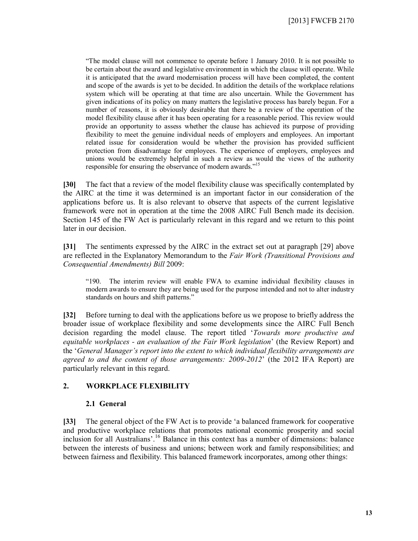"The model clause will not commence to operate before 1 January 2010. It is not possible to be certain about the award and legislative environment in which the clause will operate. While it is anticipated that the award modernisation process will have been completed, the content and scope of the awards is yet to be decided. In addition the details of the workplace relations system which will be operating at that time are also uncertain. While the Government has given indications of its policy on many matters the legislative process has barely begun. For a number of reasons, it is obviously desirable that there be a review of the operation of the model flexibility clause after it has been operating for a reasonable period. This review would provide an opportunity to assess whether the clause has achieved its purpose of providing flexibility to meet the genuine individual needs of employers and employees. An important related issue for consideration would be whether the provision has provided sufficient protection from disadvantage for employees. The experience of employers, employees and unions would be extremely helpful in such a review as would the views of the authority responsible for ensuring the observance of modern awards."<sup>15</sup>

**[30]** The fact that a review of the model flexibility clause was specifically contemplated by the AIRC at the time it was determined is an important factor in our consideration of the applications before us. It is also relevant to observe that aspects of the current legislative framework were not in operation at the time the 2008 AIRC Full Bench made its decision. Section 145 of the FW Act is particularly relevant in this regard and we return to this point later in our decision.

**[31]** The sentiments expressed by the AIRC in the extract set out at paragraph [29] above are reflected in the Explanatory Memorandum to the *Fair Work (Transitional Provisions and Consequential Amendments) Bill* 2009:

"190. The interim review will enable FWA to examine individual flexibility clauses in modern awards to ensure they are being used for the purpose intended and not to alter industry standards on hours and shift patterns."

**[32]** Before turning to deal with the applications before us we propose to briefly address the broader issue of workplace flexibility and some developments since the AIRC Full Bench decision regarding the model clause. The report titled '*Towards more productive and equitable workplaces - an evaluation of the Fair Work legislation*' (the Review Report) and the '*General Manager's report into the extent to which individual flexibility arrangements are agreed to and the content of those arrangements: 2009-2012*' (the 2012 IFA Report) are particularly relevant in this regard.

## **2. WORKPLACE FLEXIBILITY**

#### **2.1 General**

**[33]** The general object of the FW Act is to provide 'a balanced framework for cooperative and productive workplace relations that promotes national economic prosperity and social inclusion for all Australians'.<sup>16</sup> Balance in this context has a number of dimensions: balance between the interests of business and unions; between work and family responsibilities; and between fairness and flexibility. This balanced framework incorporates, among other things: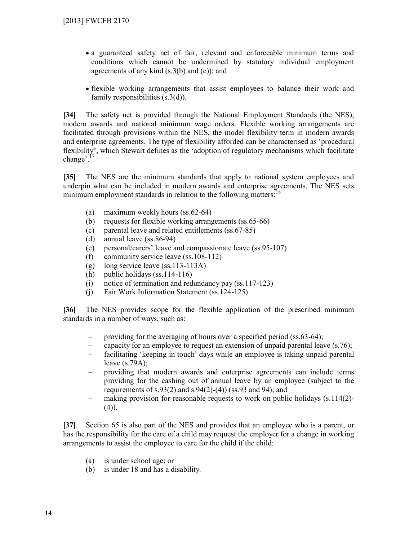- a guaranteed safety net of fair, relevant and enforceable minimum terms and conditions which cannot be undermined by statutory individual employment agreements of any kind  $(s.3(b)$  and  $(c)$ ; and
- flexible working arrangements that assist employees to balance their work and family responsibilities (s.3(d)).

**[34]** The safety net is provided through the National Employment Standards (the NES), modern awards and national minimum wage orders. Flexible working arrangements are facilitated through provisions within the NES, the model flexibility term in modern awards and enterprise agreements. The type of flexibility afforded can be characterised as 'procedural flexibility', which Stewart defines as the 'adoption of regulatory mechanisms which facilitate change'.<sup>17</sup>

**[35]** The NES are the minimum standards that apply to national system employees and underpin what can be included in modern awards and enterprise agreements. The NES sets minimum employment standards in relation to the following matters:<sup>18</sup>

- (a) maximum weekly hours (ss.62-64)
- (b) requests for flexible working arrangements (ss.65-66)
- (c) parental leave and related entitlements (ss.67-85)
- (d) annual leave (ss.86-94)
- (e) personal/carers' leave and compassionate leave (ss.95-107)
- (f) community service leave (ss.108-112)
- (g) long service leave (ss.113-113A)
- (h) public holidays (ss.114-116)
- (i) notice of termination and redundancy pay (ss.117-123)
- (j) Fair Work Information Statement (ss.124-125)

**[36]** The NES provides scope for the flexible application of the prescribed minimum standards in a number of ways, such as:

- providing for the averaging of hours over a specified period (ss.63-64);
- capacity for an employee to request an extension of unpaid parental leave (s.76);
- facilitating 'keeping in touch' days while an employee is taking unpaid parental leave (s.79A);
- providing that modern awards and enterprise agreements can include terms providing for the cashing out of annual leave by an employee (subject to the requirements of s.93(2) and s.94(2)-(4)) (ss.93 and 94); and
- making provision for reasonable requests to work on public holidays (s.114(2)- $(4)$ ).

**[37]** Section 65 is also part of the NES and provides that an employee who is a parent, or has the responsibility for the care of a child may request the employer for a change in working arrangements to assist the employee to care for the child if the child:

- (a) is under school age; or
- (b) is under 18 and has a disability.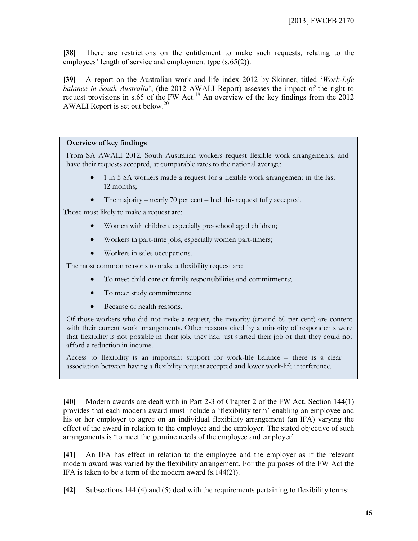**[38]** There are restrictions on the entitlement to make such requests, relating to the employees' length of service and employment type  $(s.65(2))$ .

**[39]** A report on the Australian work and life index 2012 by Skinner, titled '*Work-Life balance in South Australia*', (the 2012 AWALI Report) assesses the impact of the right to request provisions in s.65 of the FW Act.<sup>19</sup> An overview of the key findings from the 2012 AWALI Report is set out below.<sup>20</sup>

## **Overview of key findings**

From SA AWALI 2012, South Australian workers request flexible work arrangements, and have their requests accepted, at comparable rates to the national average:

- 1 in 5 SA workers made a request for a flexible work arrangement in the last 12 months;
- The majority nearly 70 per cent had this request fully accepted.

Those most likely to make a request are:

- Women with children, especially pre-school aged children;
- Workers in part-time jobs, especially women part-timers;
- Workers in sales occupations.

The most common reasons to make a flexibility request are:

- To meet child-care or family responsibilities and commitments;
- To meet study commitments;
- Because of health reasons.

Of those workers who did not make a request, the majority (around 60 per cent) are content with their current work arrangements. Other reasons cited by a minority of respondents were that flexibility is not possible in their job, they had just started their job or that they could not afford a reduction in income.

Access to flexibility is an important support for work-life balance – there is a clear association between having a flexibility request accepted and lower work-life interference.

**[40]** Modern awards are dealt with in Part 2-3 of Chapter 2 of the FW Act. Section 144(1) provides that each modern award must include a 'flexibility term' enabling an employee and his or her employer to agree on an individual flexibility arrangement (an IFA) varying the effect of the award in relation to the employee and the employer. The stated objective of such arrangements is 'to meet the genuine needs of the employee and employer'.

**[41]** An IFA has effect in relation to the employee and the employer as if the relevant modern award was varied by the flexibility arrangement. For the purposes of the FW Act the IFA is taken to be a term of the modern award (s.144(2)).

**[42]** Subsections 144 (4) and (5) deal with the requirements pertaining to flexibility terms: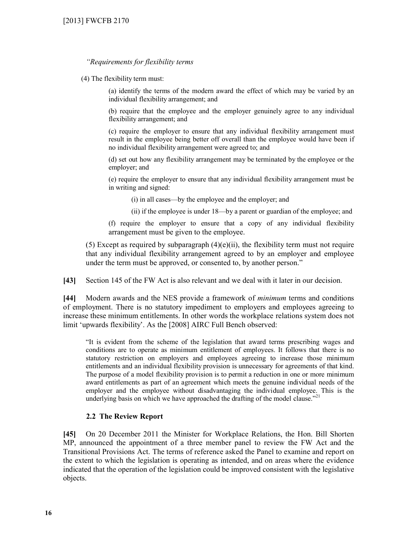## *"Requirements for flexibility terms*

(4) The flexibility term must:

(a) identify the terms of the modern award the effect of which may be varied by an individual flexibility arrangement; and

(b) require that the employee and the employer genuinely agree to any individual flexibility arrangement; and

(c) require the employer to ensure that any individual flexibility arrangement must result in the employee being better off overall than the employee would have been if no individual flexibility arrangement were agreed to; and

(d) set out how any flexibility arrangement may be terminated by the employee or the employer; and

(e) require the employer to ensure that any individual flexibility arrangement must be in writing and signed:

(i) in all cases—by the employee and the employer; and

- (ii) if the employee is under 18—by a parent or guardian of the employee; and
- (f) require the employer to ensure that a copy of any individual flexibility arrangement must be given to the employee.

(5) Except as required by subparagraph  $(4)(e)(ii)$ , the flexibility term must not require that any individual flexibility arrangement agreed to by an employer and employee under the term must be approved, or consented to, by another person."

**[43]** Section 145 of the FW Act is also relevant and we deal with it later in our decision.

**[44]** Modern awards and the NES provide a framework of *minimum* terms and conditions of employment. There is no statutory impediment to employers and employees agreeing to increase these minimum entitlements. In other words the workplace relations system does not limit 'upwards flexibility'. As the [2008] AIRC Full Bench observed:

"It is evident from the scheme of the legislation that award terms prescribing wages and conditions are to operate as minimum entitlement of employees. It follows that there is no statutory restriction on employers and employees agreeing to increase those minimum entitlements and an individual flexibility provision is unnecessary for agreements of that kind. The purpose of a model flexibility provision is to permit a reduction in one or more minimum award entitlements as part of an agreement which meets the genuine individual needs of the employer and the employee without disadvantaging the individual employee. This is the underlying basis on which we have approached the drafting of the model clause."<sup>21</sup>

## **2.2 The Review Report**

**[45]** On 20 December 2011 the Minister for Workplace Relations, the Hon. Bill Shorten MP, announced the appointment of a three member panel to review the FW Act and the Transitional Provisions Act. The terms of reference asked the Panel to examine and report on the extent to which the legislation is operating as intended, and on areas where the evidence indicated that the operation of the legislation could be improved consistent with the legislative objects.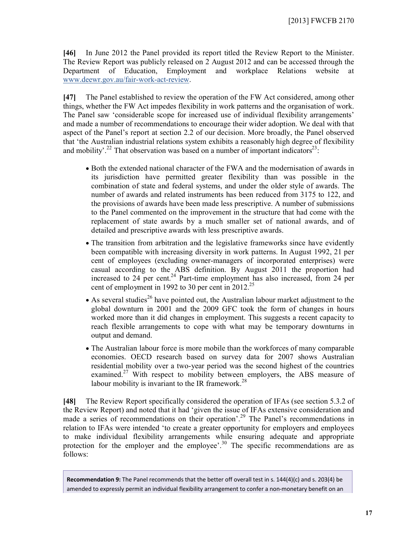**[46]** In June 2012 the Panel provided its report titled the Review Report to the Minister. The Review Report was publicly released on 2 August 2012 and can be accessed through the Department of Education, Employment and workplace Relations website at www.deewr.gov.au/fair-work-act-review.

**[47]** The Panel established to review the operation of the FW Act considered, among other things, whether the FW Act impedes flexibility in work patterns and the organisation of work. The Panel saw 'considerable scope for increased use of individual flexibility arrangements' and made a number of recommendations to encourage their wider adoption. We deal with that aspect of the Panel's report at section 2.2 of our decision. More broadly, the Panel observed that 'the Australian industrial relations system exhibits a reasonably high degree of flexibility and mobility'.<sup>22</sup> That observation was based on a number of important indicators<sup>23</sup>.

- Both the extended national character of the FWA and the modernisation of awards in its jurisdiction have permitted greater flexibility than was possible in the combination of state and federal systems, and under the older style of awards. The number of awards and related instruments has been reduced from 3175 to 122, and the provisions of awards have been made less prescriptive. A number of submissions to the Panel commented on the improvement in the structure that had come with the replacement of state awards by a much smaller set of national awards, and of detailed and prescriptive awards with less prescriptive awards.
- The transition from arbitration and the legislative frameworks since have evidently been compatible with increasing diversity in work patterns. In August 1992, 21 per cent of employees (excluding owner-managers of incorporated enterprises) were casual according to the ABS definition. By August 2011 the proportion had increased to 24 per cent.<sup>24</sup> Part-time employment has also increased, from 24 per cent of employment in 1992 to 30 per cent in 2012.<sup>25</sup>
- As several studies<sup>26</sup> have pointed out, the Australian labour market adjustment to the global downturn in 2001 and the 2009 GFC took the form of changes in hours worked more than it did changes in employment. This suggests a recent capacity to reach flexible arrangements to cope with what may be temporary downturns in output and demand.
- The Australian labour force is more mobile than the workforces of many comparable economies. OECD research based on survey data for 2007 shows Australian residential mobility over a two-year period was the second highest of the countries examined.<sup>27</sup> With respect to mobility between employers, the ABS measure of labour mobility is invariant to the IR framework. $^{28}$

**[48]** The Review Report specifically considered the operation of IFAs (see section 5.3.2 of the Review Report) and noted that it had 'given the issue of IFAs extensive consideration and made a series of recommendations on their operation'.<sup>29</sup> The Panel's recommendations in relation to IFAs were intended 'to create a greater opportunity for employers and employees to make individual flexibility arrangements while ensuring adequate and appropriate protection for the employer and the employee'.<sup>30</sup> The specific recommendations are as follows:

**Recommendation 9:** The Panel recommends that the better off overall test in s. 144(4)(c) and s. 203(4) be amended to expressly permit an individual flexibility arrangement to confer a non-monetary benefit on an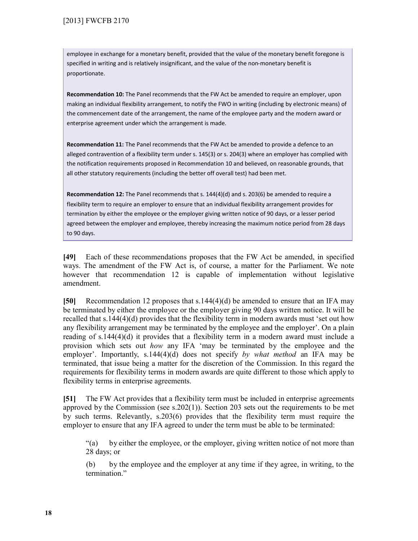employee in exchange for a monetary benefit, provided that the value of the monetary benefit foregone is specified in writing and is relatively insignificant, and the value of the non-monetary benefit is proportionate.

**Recommendation 10:** The Panel recommends that the FW Act be amended to require an employer, upon making an individual flexibility arrangement, to notify the FWO in writing (including by electronic means) of the commencement date of the arrangement, the name of the employee party and the modern award or enterprise agreement under which the arrangement is made.

**Recommendation 11:** The Panel recommends that the FW Act be amended to provide a defence to an alleged contravention of a flexibility term under s. 145(3) or s. 204(3) where an employer has complied with the notification requirements proposed in Recommendation 10 and believed, on reasonable grounds, that all other statutory requirements (including the better off overall test) had been met.

**Recommendation 12:** The Panel recommends that s. 144(4)(d) and s. 203(6) be amended to require a flexibility term to require an employer to ensure that an individual flexibility arrangement provides for termination by either the employee or the employer giving written notice of 90 days, or a lesser period agreed between the employer and employee, thereby increasing the maximum notice period from 28 days to 90 days.

**[49]** Each of these recommendations proposes that the FW Act be amended, in specified ways. The amendment of the FW Act is, of course, a matter for the Parliament. We note however that recommendation 12 is capable of implementation without legislative amendment.

**[50]** Recommendation 12 proposes that s.144(4)(d) be amended to ensure that an IFA may be terminated by either the employee or the employer giving 90 days written notice. It will be recalled that s.144(4)(d) provides that the flexibility term in modern awards must 'set out how any flexibility arrangement may be terminated by the employee and the employer'. On a plain reading of s.144(4)(d) it provides that a flexibility term in a modern award must include a provision which sets out *how* any IFA 'may be terminated by the employee and the employer'. Importantly, s.144(4)(d) does not specify *by what method* an IFA may be terminated, that issue being a matter for the discretion of the Commission. In this regard the requirements for flexibility terms in modern awards are quite different to those which apply to flexibility terms in enterprise agreements.

**[51]** The FW Act provides that a flexibility term must be included in enterprise agreements approved by the Commission (see  $s.202(1)$ ). Section 203 sets out the requirements to be met by such terms. Relevantly, s.203(6) provides that the flexibility term must require the employer to ensure that any IFA agreed to under the term must be able to be terminated:

"(a) by either the employee, or the employer, giving written notice of not more than 28 days; or

(b) by the employee and the employer at any time if they agree, in writing, to the termination."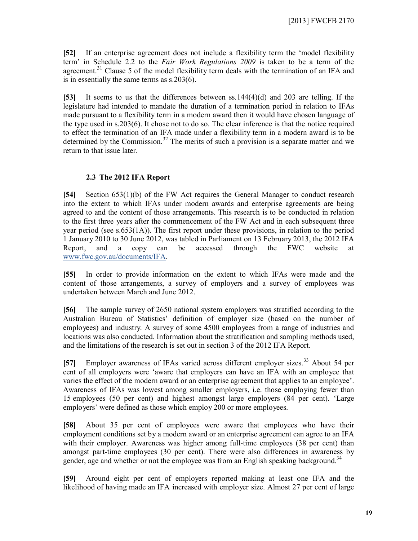**[52]** If an enterprise agreement does not include a flexibility term the 'model flexibility term' in Schedule 2.2 to the *Fair Work Regulations 2009* is taken to be a term of the agreement.<sup>31</sup> Clause 5 of the model flexibility term deals with the termination of an IFA and is in essentially the same terms as s.203(6).

**[53]** It seems to us that the differences between ss.144(4)(d) and 203 are telling. If the legislature had intended to mandate the duration of a termination period in relation to IFAs made pursuant to a flexibility term in a modern award then it would have chosen language of the type used in s.203(6). It chose not to do so. The clear inference is that the notice required to effect the termination of an IFA made under a flexibility term in a modern award is to be determined by the Commission.<sup>32</sup> The merits of such a provision is a separate matter and we return to that issue later.

## **2.3 The 2012 IFA Report**

**[54]** Section 653(1)(b) of the FW Act requires the General Manager to conduct research into the extent to which IFAs under modern awards and enterprise agreements are being agreed to and the content of those arrangements. This research is to be conducted in relation to the first three years after the commencement of the FW Act and in each subsequent three year period (see s.653(1A)). The first report under these provisions, in relation to the period 1 January 2010 to 30 June 2012, was tabled in Parliament on 13 February 2013, the 2012 IFA Report, and a copy can be accessed through the FWC website at www.fwc.gov.au/documents/IFA.

**[55]** In order to provide information on the extent to which IFAs were made and the content of those arrangements, a survey of employers and a survey of employees was undertaken between March and June 2012.

**[56]** The sample survey of 2650 national system employers was stratified according to the Australian Bureau of Statistics' definition of employer size (based on the number of employees) and industry. A survey of some 4500 employees from a range of industries and locations was also conducted. Information about the stratification and sampling methods used, and the limitations of the research is set out in section 3 of the 2012 IFA Report.

**[57]** Employer awareness of IFAs varied across different employer sizes.<sup>33</sup> About 54 per cent of all employers were 'aware that employers can have an IFA with an employee that varies the effect of the modern award or an enterprise agreement that applies to an employee'. Awareness of IFAs was lowest among smaller employers, i.e. those employing fewer than 15 employees (50 per cent) and highest amongst large employers (84 per cent). 'Large employers' were defined as those which employ 200 or more employees.

**[58]** About 35 per cent of employees were aware that employees who have their employment conditions set by a modern award or an enterprise agreement can agree to an IFA with their employer. Awareness was higher among full-time employees (38 per cent) than amongst part-time employees (30 per cent). There were also differences in awareness by gender, age and whether or not the employee was from an English speaking background.<sup>34</sup>

**[59]** Around eight per cent of employers reported making at least one IFA and the likelihood of having made an IFA increased with employer size. Almost 27 per cent of large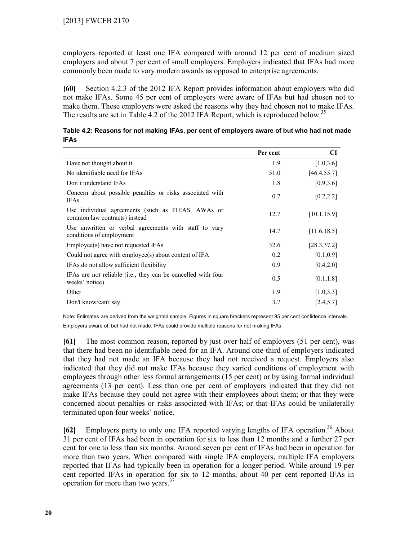employers reported at least one IFA compared with around 12 per cent of medium sized employers and about 7 per cent of small employers. Employers indicated that IFAs had more commonly been made to vary modern awards as opposed to enterprise agreements.

**[60]** Section 4.2.3 of the 2012 IFA Report provides information about employers who did not make IFAs. Some 45 per cent of employers were aware of IFAs but had chosen not to make them. These employers were asked the reasons why they had chosen not to make IFAs. The results are set in Table 4.2 of the 2012 IFA Report, which is reproduced below.<sup>35</sup>

| Table 4.2: Reasons for not making IFAs, per cent of employers aware of but who had not made<br><b>IFAs</b> |          |              |
|------------------------------------------------------------------------------------------------------------|----------|--------------|
|                                                                                                            | Per cent | $\mathbf{C}$ |

|                                                                                    | rer cent | U            |
|------------------------------------------------------------------------------------|----------|--------------|
| Have not thought about it                                                          | 1.9      | [1.0, 3.6]   |
| No identifiable need for IFAs                                                      | 51.0     | [46.4, 55.7] |
| Don't understand IFAs                                                              | 1.8      | [0.9, 3.6]   |
| Concern about possible penalties or risks associated with<br><b>IFAs</b>           | 0.7      | [0.2, 2.2]   |
| Use individual agreements (such as ITEAS, AWAs or<br>common law contracts) instead | 12.7     | [10.1, 15.9] |
| Use unwritten or verbal agreements with staff to vary<br>conditions of employment  | 14.7     | [11.6, 18.5] |
| Employee(s) have not requested IFAs                                                | 32.6     | [28.3, 37.2] |
| Could not agree with employee(s) about content of IFA                              | 0.2      | [0.1, 0.9]   |
| IFAs do not allow sufficient flexibility                                           | 0.9      | [0.4, 2.0]   |
| IFAs are not reliable (i.e., they can be cancelled with four<br>weeks' notice)     | 0.5      | [0.1, 1.8]   |
| Other                                                                              | 1.9      | [1.0, 3.3]   |
| Don't know/can't say                                                               | 3.7      | [2.4, 5.7]   |

Note: Estimates are derived from the weighted sample. Figures in square brackets represent 95 per cent confidence intervals. Employers aware of, but had not made, IFAs could provide multiple reasons for not making IFAs.

**[61]** The most common reason, reported by just over half of employers (51 per cent), was that there had been no identifiable need for an IFA. Around one-third of employers indicated that they had not made an IFA because they had not received a request. Employers also indicated that they did not make IFAs because they varied conditions of employment with employees through other less formal arrangements (15 per cent) or by using formal individual agreements (13 per cent). Less than one per cent of employers indicated that they did not make IFAs because they could not agree with their employees about them; or that they were concerned about penalties or risks associated with IFAs; or that IFAs could be unilaterally terminated upon four weeks' notice.

**[62]** Employers party to only one IFA reported varying lengths of IFA operation.<sup>36</sup> About 31 per cent of IFAs had been in operation for six to less than 12 months and a further 27 per cent for one to less than six months. Around seven per cent of IFAs had been in operation for more than two years. When compared with single IFA employers, multiple IFA employers reported that IFAs had typically been in operation for a longer period. While around 19 per cent reported IFAs in operation for six to 12 months, about 40 per cent reported IFAs in operation for more than two years.<sup>37</sup>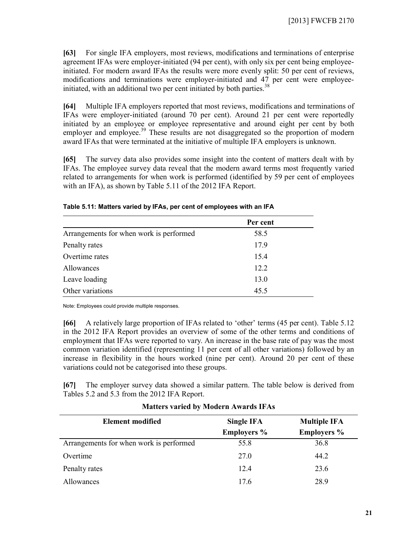**[63]** For single IFA employers, most reviews, modifications and terminations of enterprise agreement IFAs were employer-initiated (94 per cent), with only six per cent being employeeinitiated. For modern award IFAs the results were more evenly split: 50 per cent of reviews, modifications and terminations were employer-initiated and 47 per cent were employeeinitiated, with an additional two per cent initiated by both parties.<sup>38</sup>

**[64]** Multiple IFA employers reported that most reviews, modifications and terminations of IFAs were employer-initiated (around 70 per cent). Around 21 per cent were reportedly initiated by an employee or employee representative and around eight per cent by both employer and employee.<sup>39</sup> These results are not disaggregated so the proportion of modern award IFAs that were terminated at the initiative of multiple IFA employers is unknown.

**[65]** The survey data also provides some insight into the content of matters dealt with by IFAs. The employee survey data reveal that the modern award terms most frequently varied related to arrangements for when work is performed (identified by 59 per cent of employees with an IFA), as shown by Table 5.11 of the 2012 IFA Report.

|                                         | Per cent |  |
|-----------------------------------------|----------|--|
| Arrangements for when work is performed | 58.5     |  |
| Penalty rates                           | 17.9     |  |
| Overtime rates                          | 15.4     |  |
| Allowances                              | 12.2     |  |
| Leave loading                           | 13.0     |  |
| Other variations                        | 45.5     |  |

**Table 5.11: Matters varied by IFAs, per cent of employees with an IFA**

Note: Employees could provide multiple responses.

**[66]** A relatively large proportion of IFAs related to 'other' terms (45 per cent). Table 5.12 in the 2012 IFA Report provides an overview of some of the other terms and conditions of employment that IFAs were reported to vary. An increase in the base rate of pay was the most common variation identified (representing 11 per cent of all other variations) followed by an increase in flexibility in the hours worked (nine per cent). Around 20 per cent of these variations could not be categorised into these groups.

**[67]** The employer survey data showed a similar pattern. The table below is derived from Tables 5.2 and 5.3 from the 2012 IFA Report.

| <b>Element modified</b>                 | Single IFA         | <b>Multiple IFA</b> |
|-----------------------------------------|--------------------|---------------------|
|                                         | <b>Employers</b> % | <b>Employers</b> %  |
| Arrangements for when work is performed | 55.8               | 36.8                |
| Overtime                                | 27.0               | 44.2                |
| Penalty rates                           | 12.4               | 23.6                |
| Allowances                              | 176                | 28.9                |

## **Matters varied by Modern Awards IFAs**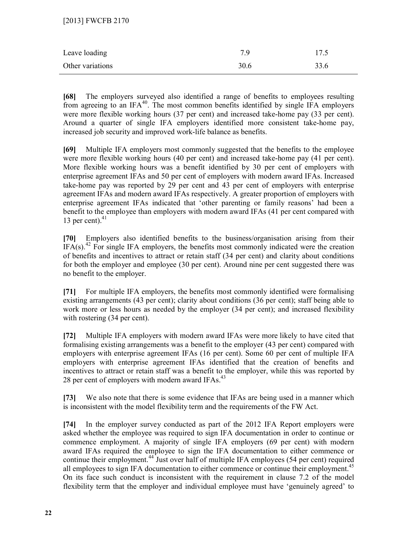| Leave loading    | 7 Q  | 17.5 |
|------------------|------|------|
| Other variations | 30.6 | 33.6 |

**[68]** The employers surveyed also identified a range of benefits to employees resulting from agreeing to an IFA<sup>40</sup>. The most common benefits identified by single IFA employers were more flexible working hours (37 per cent) and increased take-home pay (33 per cent). Around a quarter of single IFA employers identified more consistent take-home pay, increased job security and improved work-life balance as benefits.

**[69]** Multiple IFA employers most commonly suggested that the benefits to the employee were more flexible working hours (40 per cent) and increased take-home pay (41 per cent). More flexible working hours was a benefit identified by 30 per cent of employers with enterprise agreement IFAs and 50 per cent of employers with modern award IFAs. Increased take-home pay was reported by 29 per cent and 43 per cent of employers with enterprise agreement IFAs and modern award IFAs respectively. A greater proportion of employers with enterprise agreement IFAs indicated that 'other parenting or family reasons' had been a benefit to the employee than employers with modern award IFAs (41 per cent compared with 13 per cent). $41$ 

**[70]** Employers also identified benefits to the business/organisation arising from their IFA(s).<sup>42</sup> For single IFA employers, the benefits most commonly indicated were the creation of benefits and incentives to attract or retain staff (34 per cent) and clarity about conditions for both the employer and employee (30 per cent). Around nine per cent suggested there was no benefit to the employer.

**[71]** For multiple IFA employers, the benefits most commonly identified were formalising existing arrangements (43 per cent); clarity about conditions (36 per cent); staff being able to work more or less hours as needed by the employer (34 per cent); and increased flexibility with rostering  $(34$  per cent).

**[72]** Multiple IFA employers with modern award IFAs were more likely to have cited that formalising existing arrangements was a benefit to the employer (43 per cent) compared with employers with enterprise agreement IFAs (16 per cent). Some 60 per cent of multiple IFA employers with enterprise agreement IFAs identified that the creation of benefits and incentives to attract or retain staff was a benefit to the employer, while this was reported by 28 per cent of employers with modern award IFAs.<sup>43</sup>

**[73]** We also note that there is some evidence that IFAs are being used in a manner which is inconsistent with the model flexibility term and the requirements of the FW Act.

**[74]** In the employer survey conducted as part of the 2012 IFA Report employers were asked whether the employee was required to sign IFA documentation in order to continue or commence employment. A majority of single IFA employers (69 per cent) with modern award IFAs required the employee to sign the IFA documentation to either commence or continue their employment.<sup>44</sup> Just over half of multiple IFA employees (54 per cent) required all employees to sign IFA documentation to either commence or continue their employment.<sup>45</sup> On its face such conduct is inconsistent with the requirement in clause 7.2 of the model flexibility term that the employer and individual employee must have 'genuinely agreed' to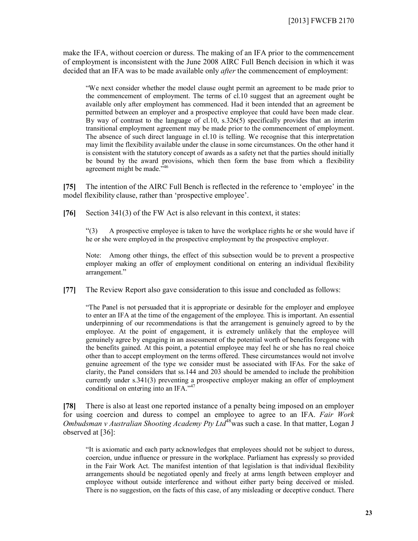make the IFA, without coercion or duress. The making of an IFA prior to the commencement of employment is inconsistent with the June 2008 AIRC Full Bench decision in which it was decided that an IFA was to be made available only *after* the commencement of employment:

"We next consider whether the model clause ought permit an agreement to be made prior to the commencement of employment. The terms of cl.10 suggest that an agreement ought be available only after employment has commenced. Had it been intended that an agreement be permitted between an employer and a prospective employee that could have been made clear. By way of contrast to the language of cl.10, s.326(5) specifically provides that an interim transitional employment agreement may be made prior to the commencement of employment. The absence of such direct language in cl.10 is telling. We recognise that this interpretation may limit the flexibility available under the clause in some circumstances. On the other hand it is consistent with the statutory concept of awards as a safety net that the parties should initially be bound by the award provisions, which then form the base from which a flexibility agreement might be made."<sup>46</sup>

**[75]** The intention of the AIRC Full Bench is reflected in the reference to 'employee' in the model flexibility clause, rather than 'prospective employee'.

**[76]** Section 341(3) of the FW Act is also relevant in this context, it states:

"(3) A prospective employee is taken to have the workplace rights he or she would have if he or she were employed in the prospective employment by the prospective employer.

Note: Among other things, the effect of this subsection would be to prevent a prospective employer making an offer of employment conditional on entering an individual flexibility arrangement."

**[77]** The Review Report also gave consideration to this issue and concluded as follows:

"The Panel is not persuaded that it is appropriate or desirable for the employer and employee to enter an IFA at the time of the engagement of the employee. This is important. An essential underpinning of our recommendations is that the arrangement is genuinely agreed to by the employee. At the point of engagement, it is extremely unlikely that the employee will genuinely agree by engaging in an assessment of the potential worth of benefits foregone with the benefits gained. At this point, a potential employee may feel he or she has no real choice other than to accept employment on the terms offered. These circumstances would not involve genuine agreement of the type we consider must be associated with IFAs. For the sake of clarity, the Panel considers that ss.144 and 203 should be amended to include the prohibition currently under s.341(3) preventing a prospective employer making an offer of employment conditional on entering into an IFA."<sup>47</sup>

**[78]** There is also at least one reported instance of a penalty being imposed on an employer for using coercion and duress to compel an employee to agree to an IFA. *Fair Work Ombudsman v Australian Shooting Academy Pty Ltd*<sup>48</sup>was such a case. In that matter, Logan J observed at [36]:

"It is axiomatic and each party acknowledges that employees should not be subject to duress, coercion, undue influence or pressure in the workplace. Parliament has expressly so provided in the Fair Work Act. The manifest intention of that legislation is that individual flexibility arrangements should be negotiated openly and freely at arms length between employer and employee without outside interference and without either party being deceived or misled. There is no suggestion, on the facts of this case, of any misleading or deceptive conduct. There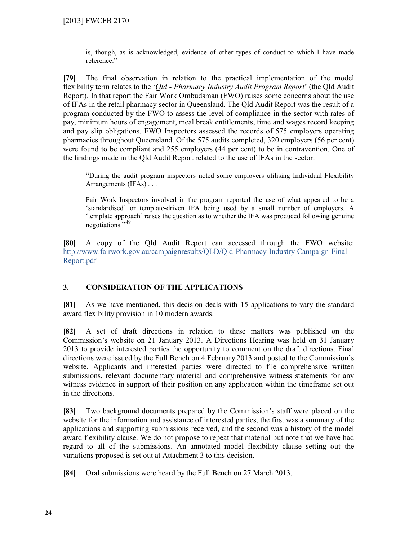is, though, as is acknowledged, evidence of other types of conduct to which I have made reference."

**[79]** The final observation in relation to the practical implementation of the model flexibility term relates to the '*Qld - Pharmacy Industry Audit Program Report*' (the Qld Audit Report). In that report the Fair Work Ombudsman (FWO) raises some concerns about the use of IFAs in the retail pharmacy sector in Queensland. The Qld Audit Report was the result of a program conducted by the FWO to assess the level of compliance in the sector with rates of pay, minimum hours of engagement, meal break entitlements, time and wages record keeping and pay slip obligations. FWO Inspectors assessed the records of 575 employers operating pharmacies throughout Queensland. Of the 575 audits completed, 320 employers (56 per cent) were found to be compliant and 255 employers (44 per cent) to be in contravention. One of the findings made in the Qld Audit Report related to the use of IFAs in the sector:

"During the audit program inspectors noted some employers utilising Individual Flexibility Arrangements (IFAs) . . .

Fair Work Inspectors involved in the program reported the use of what appeared to be a 'standardised' or template-driven IFA being used by a small number of employers. A 'template approach' raises the question as to whether the IFA was produced following genuine negotiations." 49

**[80]** A copy of the Qld Audit Report can accessed through the FWO website: http://www.fairwork.gov.au/campaignresults/QLD/Qld-Pharmacy-Industry-Campaign-Final-Report.pdf

## **3. CONSIDERATION OF THE APPLICATIONS**

**[81]** As we have mentioned, this decision deals with 15 applications to vary the standard award flexibility provision in 10 modern awards.

**[82]** A set of draft directions in relation to these matters was published on the Commission's website on 21 January 2013. A Directions Hearing was held on 31 January 2013 to provide interested parties the opportunity to comment on the draft directions. Final directions were issued by the Full Bench on 4 February 2013 and posted to the Commission's website. Applicants and interested parties were directed to file comprehensive written submissions, relevant documentary material and comprehensive witness statements for any witness evidence in support of their position on any application within the timeframe set out in the directions.

**[83]** Two background documents prepared by the Commission's staff were placed on the website for the information and assistance of interested parties, the first was a summary of the applications and supporting submissions received, and the second was a history of the model award flexibility clause. We do not propose to repeat that material but note that we have had regard to all of the submissions. An annotated model flexibility clause setting out the variations proposed is set out at Attachment 3 to this decision.

**[84]** Oral submissions were heard by the Full Bench on 27 March 2013.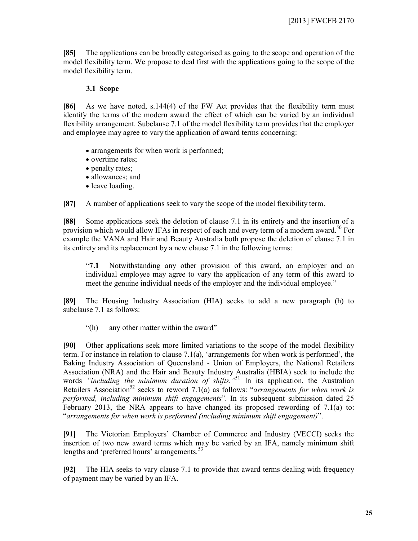**[85]** The applications can be broadly categorised as going to the scope and operation of the model flexibility term. We propose to deal first with the applications going to the scope of the model flexibility term.

## **3.1 Scope**

**[86]** As we have noted, s.144(4) of the FW Act provides that the flexibility term must identify the terms of the modern award the effect of which can be varied by an individual flexibility arrangement. Subclause 7.1 of the model flexibility term provides that the employer and employee may agree to vary the application of award terms concerning:

- arrangements for when work is performed;
- overtime rates;
- penalty rates;
- allowances; and
- leave loading.

**[87]** A number of applications seek to vary the scope of the model flexibility term.

**[88]** Some applications seek the deletion of clause 7.1 in its entirety and the insertion of a provision which would allow IFAs in respect of each and every term of a modern award.<sup>50</sup> For example the VANA and Hair and Beauty Australia both propose the deletion of clause 7.1 in its entirety and its replacement by a new clause 7.1 in the following terms:

"**7.1** Notwithstanding any other provision of this award, an employer and an individual employee may agree to vary the application of any term of this award to meet the genuine individual needs of the employer and the individual employee."

**[89]** The Housing Industry Association (HIA) seeks to add a new paragraph (h) to subclause 7.1 as follows:

"(h) any other matter within the award"

**[90]** Other applications seek more limited variations to the scope of the model flexibility term. For instance in relation to clause 7.1(a), 'arrangements for when work is performed', the Baking Industry Association of Queensland - Union of Employers, the National Retailers Association (NRA) and the Hair and Beauty Industry Australia (HBIA) seek to include the words *"including the minimum duration of shifts."*<sup>51</sup> In its application, the Australian Retailers Association<sup>52</sup> seeks to reword 7.1(a) as follows: "*arrangements for when work is performed, including minimum shift engagements*". In its subsequent submission dated 25 February 2013, the NRA appears to have changed its proposed rewording of 7.1(a) to: "*arrangements for when work is performed (including minimum shift engagement)*".

**[91]** The Victorian Employers' Chamber of Commerce and Industry (VECCI) seeks the insertion of two new award terms which may be varied by an IFA, namely minimum shift lengths and 'preferred hours' arrangements.<sup>53</sup>

**[92]** The HIA seeks to vary clause 7.1 to provide that award terms dealing with frequency of payment may be varied by an IFA.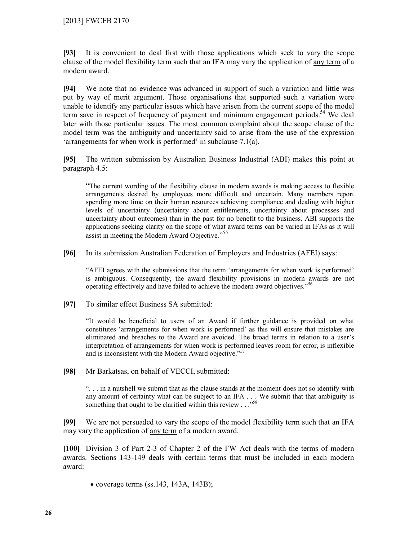**[93]** It is convenient to deal first with those applications which seek to vary the scope clause of the model flexibility term such that an IFA may vary the application of any term of a modern award.

**[94]** We note that no evidence was advanced in support of such a variation and little was put by way of merit argument. Those organisations that supported such a variation were unable to identify any particular issues which have arisen from the current scope of the model term save in respect of frequency of payment and minimum engagement periods.<sup>54</sup> We deal later with those particular issues. The most common complaint about the scope clause of the model term was the ambiguity and uncertainty said to arise from the use of the expression 'arrangements for when work is performed' in subclause 7.1(a).

**[95]** The written submission by Australian Business Industrial (ABI) makes this point at paragraph 4.5:

"The current wording of the flexibility clause in modern awards is making access to flexible arrangements desired by employees more difficult and uncertain. Many members report spending more time on their human resources achieving compliance and dealing with higher levels of uncertainty (uncertainty about entitlements, uncertainty about processes and uncertainty about outcomes) than in the past for no benefit to the business. ABI supports the applications seeking clarity on the scope of what award terms can be varied in IFAs as it will assist in meeting the Modern Award Objective."<sup>55</sup>

**[96]** In its submission Australian Federation of Employers and Industries (AFEI) says:

"AFEI agrees with the submissions that the term 'arrangements for when work is performed' is ambiguous. Consequently, the award flexibility provisions in modern awards are not operating effectively and have failed to achieve the modern award objectives."<sup>56</sup>

**[97]** To similar effect Business SA submitted:

"It would be beneficial to users of an Award if further guidance is provided on what constitutes 'arrangements for when work is performed' as this will ensure that mistakes are eliminated and breaches to the Award are avoided. The broad terms in relation to a user's interpretation of arrangements for when work is performed leaves room for error, is inflexible and is inconsistent with the Modern Award objective."<sup>57</sup>

**[98]** Mr Barkatsas, on behalf of VECCI, submitted:

". . . in a nutshell we submit that as the clause stands at the moment does not so identify with any amount of certainty what can be subject to an IFA . . . We submit that that ambiguity is something that ought to be clarified within this review . . . .<sup>588</sup>

**[99]** We are not persuaded to vary the scope of the model flexibility term such that an IFA may vary the application of any term of a modern award.

**[100]** Division 3 of Part 2-3 of Chapter 2 of the FW Act deals with the terms of modern awards. Sections 143-149 deals with certain terms that must be included in each modern award:

 $\bullet$  coverage terms (ss.143, 143A, 143B);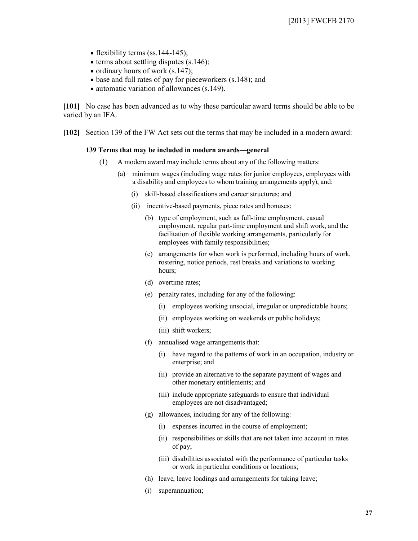- flexibility terms (ss.  $144-145$ );
- $\bullet$  terms about settling disputes (s.146);
- ordinary hours of work  $(s.147)$ ;
- base and full rates of pay for pieceworkers (s.148); and
- automatic variation of allowances (s.149).

**[101]** No case has been advanced as to why these particular award terms should be able to be varied by an IFA.

**[102]** Section 139 of the FW Act sets out the terms that may be included in a modern award:

#### **139 Terms that may be included in modern awards—general**

- (1) A modern award may include terms about any of the following matters:
	- (a) minimum wages (including wage rates for junior employees, employees with a disability and employees to whom training arrangements apply), and:
		- (i) skill-based classifications and career structures; and
		- (ii) incentive-based payments, piece rates and bonuses;
			- (b) type of employment, such as full-time employment, casual employment, regular part-time employment and shift work, and the facilitation of flexible working arrangements, particularly for employees with family responsibilities;
			- (c) arrangements for when work is performed, including hours of work, rostering, notice periods, rest breaks and variations to working hours;
			- (d) overtime rates;
			- (e) penalty rates, including for any of the following:
				- (i) employees working unsocial, irregular or unpredictable hours;
				- (ii) employees working on weekends or public holidays;
				- (iii) shift workers;
			- (f) annualised wage arrangements that:
				- (i) have regard to the patterns of work in an occupation, industry or enterprise; and
				- (ii) provide an alternative to the separate payment of wages and other monetary entitlements; and
				- (iii) include appropriate safeguards to ensure that individual employees are not disadvantaged;
			- (g) allowances, including for any of the following:
				- (i) expenses incurred in the course of employment;
				- (ii) responsibilities or skills that are not taken into account in rates of pay;
				- (iii) disabilities associated with the performance of particular tasks or work in particular conditions or locations;
			- (h) leave, leave loadings and arrangements for taking leave;
			- (i) superannuation;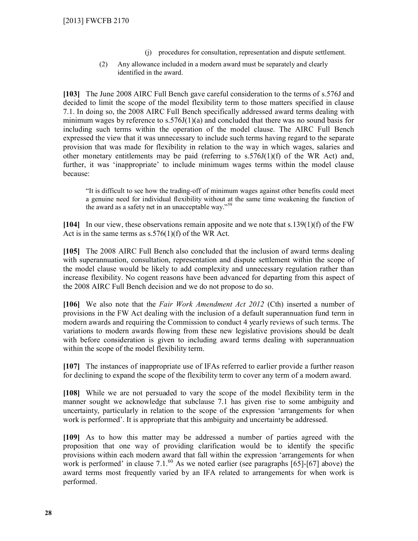- (j) procedures for consultation, representation and dispute settlement.
- (2) Any allowance included in a modern award must be separately and clearly identified in the award.

**[103]** The June 2008 AIRC Full Bench gave careful consideration to the terms of s.576J and decided to limit the scope of the model flexibility term to those matters specified in clause 7.1. In doing so, the 2008 AIRC Full Bench specifically addressed award terms dealing with minimum wages by reference to  $s.576J(1)(a)$  and concluded that there was no sound basis for including such terms within the operation of the model clause. The AIRC Full Bench expressed the view that it was unnecessary to include such terms having regard to the separate provision that was made for flexibility in relation to the way in which wages, salaries and other monetary entitlements may be paid (referring to  $s.576J(1)(f)$  of the WR Act) and, further, it was 'inappropriate' to include minimum wages terms within the model clause because:

"It is difficult to see how the trading-off of minimum wages against other benefits could meet a genuine need for individual flexibility without at the same time weakening the function of the award as a safety net in an unacceptable way."<sup>59</sup>

**[104]** In our view, these observations remain apposite and we note that s.139(1)(f) of the FW Act is in the same terms as  $s.576(1)(f)$  of the WR Act.

**[105]** The 2008 AIRC Full Bench also concluded that the inclusion of award terms dealing with superannuation, consultation, representation and dispute settlement within the scope of the model clause would be likely to add complexity and unnecessary regulation rather than increase flexibility. No cogent reasons have been advanced for departing from this aspect of the 2008 AIRC Full Bench decision and we do not propose to do so.

**[106]** We also note that the *Fair Work Amendment Act 2012* (Cth) inserted a number of provisions in the FW Act dealing with the inclusion of a default superannuation fund term in modern awards and requiring the Commission to conduct 4 yearly reviews of such terms. The variations to modern awards flowing from these new legislative provisions should be dealt with before consideration is given to including award terms dealing with superannuation within the scope of the model flexibility term.

**[107]** The instances of inappropriate use of IFAs referred to earlier provide a further reason for declining to expand the scope of the flexibility term to cover any term of a modern award.

**[108]** While we are not persuaded to vary the scope of the model flexibility term in the manner sought we acknowledge that subclause 7.1 has given rise to some ambiguity and uncertainty, particularly in relation to the scope of the expression 'arrangements for when work is performed'. It is appropriate that this ambiguity and uncertainty be addressed.

**[109]** As to how this matter may be addressed a number of parties agreed with the proposition that one way of providing clarification would be to identify the specific provisions within each modern award that fall within the expression 'arrangements for when work is performed' in clause  $7.1^{60}$  As we noted earlier (see paragraphs [65]-[67] above) the award terms most frequently varied by an IFA related to arrangements for when work is performed.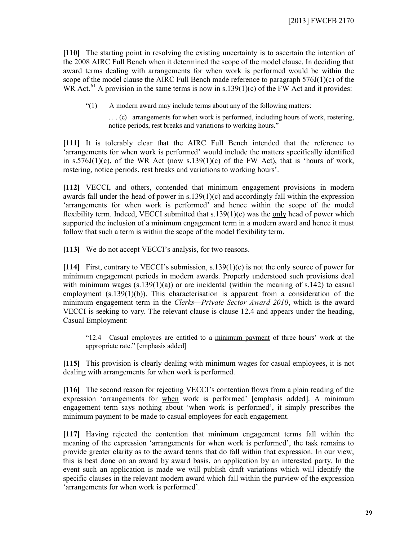[110] The starting point in resolving the existing uncertainty is to ascertain the intention of the 2008 AIRC Full Bench when it determined the scope of the model clause. In deciding that award terms dealing with arrangements for when work is performed would be within the scope of the model clause the AIRC Full Bench made reference to paragraph 576J(1)(c) of the WR Act.<sup>61</sup> A provision in the same terms is now in s.139(1)(c) of the FW Act and it provides:

"(1) A modern award may include terms about any of the following matters:

. . . (c) arrangements for when work is performed, including hours of work, rostering, notice periods, rest breaks and variations to working hours."

**[111]** It is tolerably clear that the AIRC Full Bench intended that the reference to 'arrangements for when work is performed' would include the matters specifically identified in s.576J(1)(c), of the WR Act (now s.139(1)(c) of the FW Act), that is 'hours of work, rostering, notice periods, rest breaks and variations to working hours'.

**[112]** VECCI, and others, contended that minimum engagement provisions in modern awards fall under the head of power in  $s.139(1)(c)$  and accordingly fall within the expression 'arrangements for when work is performed' and hence within the scope of the model flexibility term. Indeed, VECCI submitted that s.139(1)(c) was the only head of power which supported the inclusion of a minimum engagement term in a modern award and hence it must follow that such a term is within the scope of the model flexibility term.

[113] We do not accept VECCI's analysis, for two reasons.

**[114]** First, contrary to VECCI's submission, s.139(1)(c) is not the only source of power for minimum engagement periods in modern awards. Properly understood such provisions deal with minimum wages  $(s.139(1)(a))$  or are incidental (within the meaning of s.142) to casual employment  $(s.139(1)(b))$ . This characterisation is apparent from a consideration of the minimum engagement term in the *Clerks—Private Sector Award 2010*, which is the award VECCI is seeking to vary. The relevant clause is clause 12.4 and appears under the heading, Casual Employment:

"12.4 Casual employees are entitled to a minimum payment of three hours' work at the appropriate rate." [emphasis added]

**[115]** This provision is clearly dealing with minimum wages for casual employees, it is not dealing with arrangements for when work is performed.

**[116]** The second reason for rejecting VECCI's contention flows from a plain reading of the expression 'arrangements for when work is performed' [emphasis added]. A minimum engagement term says nothing about 'when work is performed', it simply prescribes the minimum payment to be made to casual employees for each engagement.

**[117]** Having rejected the contention that minimum engagement terms fall within the meaning of the expression 'arrangements for when work is performed', the task remains to provide greater clarity as to the award terms that do fall within that expression. In our view, this is best done on an award by award basis, on application by an interested party. In the event such an application is made we will publish draft variations which will identify the specific clauses in the relevant modern award which fall within the purview of the expression 'arrangements for when work is performed'.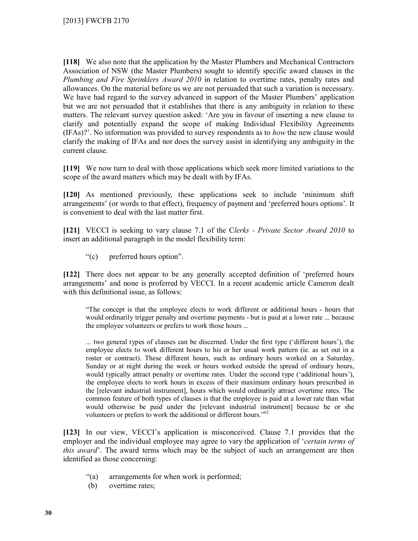**[118]** We also note that the application by the Master Plumbers and Mechanical Contractors Association of NSW (the Master Plumbers) sought to identify specific award clauses in the *Plumbing and Fire Sprinklers Award 2010* in relation to overtime rates, penalty rates and allowances. On the material before us we are not persuaded that such a variation is necessary. We have had regard to the survey advanced in support of the Master Plumbers' application but we are not persuaded that it establishes that there is any ambiguity in relation to these matters. The relevant survey question asked: 'Are you in favour of inserting a new clause to clarify and potentially expand the scope of making Individual Flexibility Agreements (IFAs)?'. No information was provided to survey respondents as to *how* the new clause would clarify the making of IFAs and nor does the survey assist in identifying any ambiguity in the current clause.

**[119]** We now turn to deal with those applications which seek more limited variations to the scope of the award matters which may be dealt with by IFAs.

**[120]** As mentioned previously, these applications seek to include 'minimum shift arrangements' (or words to that effect), frequency of payment and 'preferred hours options'. It is convenient to deal with the last matter first.

**[121]** VECCI is seeking to vary clause 7.1 of the C*lerks - Private Sector Award 2010* to insert an additional paragraph in the model flexibility term:

"(c) preferred hours option".

**[122]** There does not appear to be any generally accepted definition of 'preferred hours arrangements' and none is proferred by VECCI. In a recent academic article Cameron dealt with this definitional issue, as follows:

"The concept is that the employee elects to work different or additional hours - hours that would ordinarily trigger penalty and overtime payments - but is paid at a lower rate ... because the employee volunteers or prefers to work those hours ...

... two general types of clauses can be discerned. Under the first type ('different hours'), the employee elects to work different hours to his or her usual work pattern (ie. as set out in a roster or contract). These different hours, such as ordinary hours worked on a Saturday, Sunday or at night during the week or hours worked outside the spread of ordinary hours, would typically attract penalty or overtime rates. Under the second type ('additional hours'), the employee elects to work hours in excess of their maximum ordinary hours prescribed in the [relevant industrial instrument], hours which would ordinarily attract overtime rates. The common feature of both types of clauses is that the employee is paid at a lower rate than what would otherwise be paid under the [relevant industrial instrument] because he or she volunteers or prefers to work the additional or different hours."<sup>62</sup>

**[123]** In our view, VECCI's application is misconceived. Clause 7.1 provides that the employer and the individual employee may agree to vary the application of '*certain terms of this award*'. The award terms which may be the subject of such an arrangement are then identified as those concerning:

- "(a) arrangements for when work is performed;
- (b) overtime rates;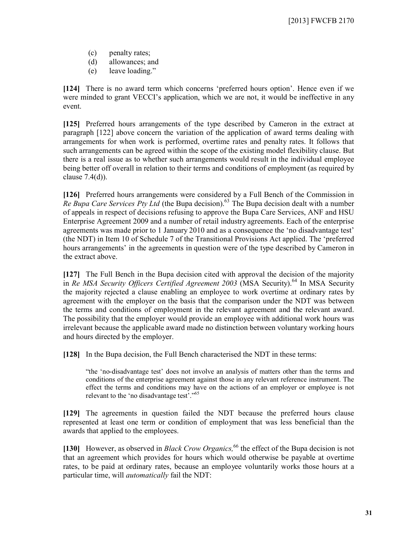- (c) penalty rates;
- (d) allowances; and
- (e) leave loading."

**[124]** There is no award term which concerns 'preferred hours option'. Hence even if we were minded to grant VECCI's application, which we are not, it would be ineffective in any event.

**[125]** Preferred hours arrangements of the type described by Cameron in the extract at paragraph [122] above concern the variation of the application of award terms dealing with arrangements for when work is performed, overtime rates and penalty rates. It follows that such arrangements can be agreed within the scope of the existing model flexibility clause. But there is a real issue as to whether such arrangements would result in the individual employee being better off overall in relation to their terms and conditions of employment (as required by clause 7.4(d)).

**[126]** Preferred hours arrangements were considered by a Full Bench of the Commission in *Re Bupa Care Services Pty Ltd* (the Bupa decision).<sup>63</sup> The Bupa decision dealt with a number of appeals in respect of decisions refusing to approve the Bupa Care Services, ANF and HSU Enterprise Agreement 2009 and a number of retail industry agreements. Each of the enterprise agreements was made prior to 1 January 2010 and as a consequence the 'no disadvantage test' (the NDT) in Item 10 of Schedule 7 of the Transitional Provisions Act applied. The 'preferred hours arrangements' in the agreements in question were of the type described by Cameron in the extract above.

**[127]** The Full Bench in the Bupa decision cited with approval the decision of the majority in *Re MSA Security Officers Certified Agreement 2003* (MSA Security).<sup>64</sup> In MSA Security the majority rejected a clause enabling an employee to work overtime at ordinary rates by agreement with the employer on the basis that the comparison under the NDT was between the terms and conditions of employment in the relevant agreement and the relevant award. The possibility that the employer would provide an employee with additional work hours was irrelevant because the applicable award made no distinction between voluntary working hours and hours directed by the employer.

**[128]** In the Bupa decision, the Full Bench characterised the NDT in these terms:

"the 'no-disadvantage test' does not involve an analysis of matters other than the terms and conditions of the enterprise agreement against those in any relevant reference instrument. The effect the terms and conditions may have on the actions of an employer or employee is not relevant to the 'no disadvantage test'."<sup>65</sup>

**[129]** The agreements in question failed the NDT because the preferred hours clause represented at least one term or condition of employment that was less beneficial than the awards that applied to the employees.

[130] However, as observed in *Black Crow Organics*,<sup>66</sup> the effect of the Bupa decision is not that an agreement which provides for hours which would otherwise be payable at overtime rates, to be paid at ordinary rates, because an employee voluntarily works those hours at a particular time, will *automatically* fail the NDT: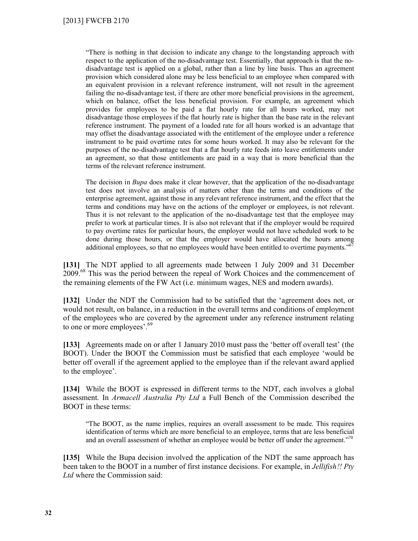"There is nothing in that decision to indicate any change to the longstanding approach with respect to the application of the no-disadvantage test. Essentially, that approach is that the nodisadvantage test is applied on a global, rather than a line by line basis. Thus an agreement provision which considered alone may be less beneficial to an employee when compared with an equivalent provision in a relevant reference instrument, will not result in the agreement failing the no-disadvantage test, if there are other more beneficial provisions in the agreement, which on balance, offset the less beneficial provision. For example, an agreement which provides for employees to be paid a flat hourly rate for all hours worked, may not disadvantage those employees if the flat hourly rate is higher than the base rate in the relevant reference instrument. The payment of a loaded rate for all hours worked is an advantage that may offset the disadvantage associated with the entitlement of the employee under a reference instrument to be paid overtime rates for some hours worked. It may also be relevant for the purposes of the no-disadvantage test that a flat hourly rate feeds into leave entitlements under an agreement, so that those entitlements are paid in a way that is more beneficial than the terms of the relevant reference instrument.

The decision in *Bupa* does make it clear however, that the application of the no-disadvantage test does not involve an analysis of matters other than the terms and conditions of the enterprise agreement, against those in any relevant reference instrument, and the effect that the terms and conditions may have on the actions of the employer or employees, is not relevant. Thus it is not relevant to the application of the no-disadvantage test that the employee may prefer to work at particular times. It is also not relevant that if the employer would be required to pay overtime rates for particular hours, the employer would not have scheduled work to be done during those hours, or that the employer would have allocated the hours among additional employees, so that no employees would have been entitled to overtime payments."<sup>67</sup>

**[131]** The NDT applied to all agreements made between 1 July 2009 and 31 December 2009.<sup>68</sup> This was the period between the repeal of Work Choices and the commencement of the remaining elements of the FW Act (i.e. minimum wages, NES and modern awards).

**[132]** Under the NDT the Commission had to be satisfied that the 'agreement does not, or would not result, on balance, in a reduction in the overall terms and conditions of employment of the employees who are covered by the agreement under any reference instrument relating to one or more employees'.<sup>69</sup>

**[133]** Agreements made on or after 1 January 2010 must pass the 'better off overall test' (the BOOT). Under the BOOT the Commission must be satisfied that each employee 'would be better off overall if the agreement applied to the employee than if the relevant award applied to the employee'.

**[134]** While the BOOT is expressed in different terms to the NDT, each involves a global assessment. In *Armacell Australia Pty Ltd* a Full Bench of the Commission described the BOOT in these terms:

"The BOOT, as the name implies, requires an overall assessment to be made. This requires identification of terms which are more beneficial to an employee, terms that are less beneficial and an overall assessment of whether an employee would be better off under the agreement."<sup>70</sup>

**[135]** While the Bupa decision involved the application of the NDT the same approach has been taken to the BOOT in a number of first instance decisions. For example, in *Jellifish!! Pty Ltd* where the Commission said: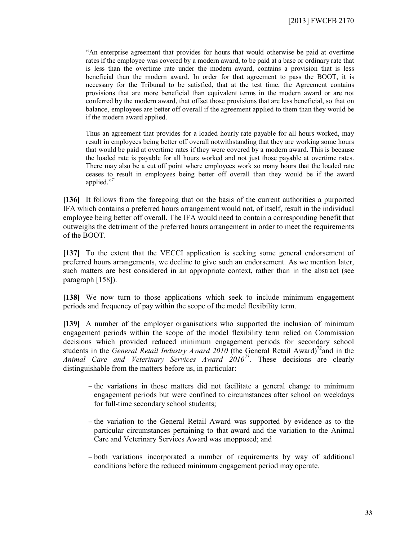"An enterprise agreement that provides for hours that would otherwise be paid at overtime rates if the employee was covered by a modern award, to be paid at a base or ordinary rate that is less than the overtime rate under the modern award, contains a provision that is less beneficial than the modern award. In order for that agreement to pass the BOOT, it is necessary for the Tribunal to be satisfied, that at the test time, the Agreement contains provisions that are more beneficial than equivalent terms in the modern award or are not conferred by the modern award, that offset those provisions that are less beneficial, so that on balance, employees are better off overall if the agreement applied to them than they would be if the modern award applied.

Thus an agreement that provides for a loaded hourly rate payable for all hours worked, may result in employees being better off overall notwithstanding that they are working some hours that would be paid at overtime rates if they were covered by a modern award. This is because the loaded rate is payable for all hours worked and not just those payable at overtime rates. There may also be a cut off point where employees work so many hours that the loaded rate ceases to result in employees being better off overall than they would be if the award applied."<sup>71</sup>

**[136]** It follows from the foregoing that on the basis of the current authorities a purported IFA which contains a preferred hours arrangement would not, of itself, result in the individual employee being better off overall. The IFA would need to contain a corresponding benefit that outweighs the detriment of the preferred hours arrangement in order to meet the requirements of the BOOT.

**[137]** To the extent that the VECCI application is seeking some general endorsement of preferred hours arrangements, we decline to give such an endorsement. As we mention later, such matters are best considered in an appropriate context, rather than in the abstract (see paragraph [158]).

**[138]** We now turn to those applications which seek to include minimum engagement periods and frequency of pay within the scope of the model flexibility term.

**[139]** A number of the employer organisations who supported the inclusion of minimum engagement periods within the scope of the model flexibility term relied on Commission decisions which provided reduced minimum engagement periods for secondary school students in the *General Retail Industry Award 2010* (the General Retail Award)<sup>72</sup> and in the *Animal Care and Veterinary Services Award 2010*<sup>73</sup> . These decisions are clearly distinguishable from the matters before us, in particular:

- $-$  the variations in those matters did not facilitate a general change to minimum engagement periods but were confined to circumstances after school on weekdays for full-time secondary school students;
- $-$  the variation to the General Retail Award was supported by evidence as to the particular circumstances pertaining to that award and the variation to the Animal Care and Veterinary Services Award was unopposed; and
- both variations incorporated a number of requirements by way of additional conditions before the reduced minimum engagement period may operate.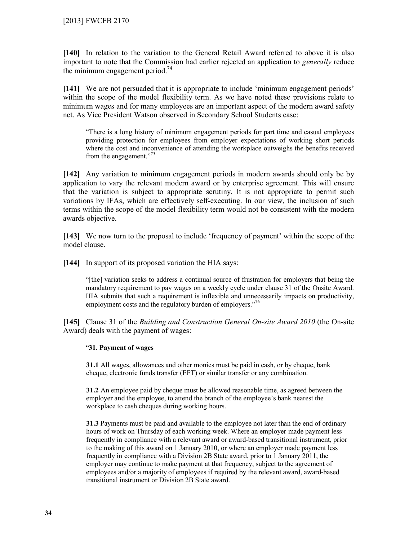**[140]** In relation to the variation to the General Retail Award referred to above it is also important to note that the Commission had earlier rejected an application to *generally* reduce the minimum engagement period.<sup>74</sup>

**[141]** We are not persuaded that it is appropriate to include 'minimum engagement periods' within the scope of the model flexibility term. As we have noted these provisions relate to minimum wages and for many employees are an important aspect of the modern award safety net. As Vice President Watson observed in Secondary School Students case:

"There is a long history of minimum engagement periods for part time and casual employees providing protection for employees from employer expectations of working short periods where the cost and inconvenience of attending the workplace outweighs the benefits received from the engagement."<sup>75</sup>

**[142]** Any variation to minimum engagement periods in modern awards should only be by application to vary the relevant modern award or by enterprise agreement. This will ensure that the variation is subject to appropriate scrutiny. It is not appropriate to permit such variations by IFAs, which are effectively self-executing. In our view, the inclusion of such terms within the scope of the model flexibility term would not be consistent with the modern awards objective.

**[143]** We now turn to the proposal to include 'frequency of payment' within the scope of the model clause.

**[144]** In support of its proposed variation the HIA says:

"[the] variation seeks to address a continual source of frustration for employers that being the mandatory requirement to pay wages on a weekly cycle under clause 31 of the Onsite Award. HIA submits that such a requirement is inflexible and unnecessarily impacts on productivity, employment costs and the regulatory burden of employers."<sup>76</sup>

**[145]** Clause 31 of the *Building and Construction General On-site Award 2010* (the On-site Award) deals with the payment of wages:

## "**31. Payment of wages**

**31.1** All wages, allowances and other monies must be paid in cash, or by cheque, bank cheque, electronic funds transfer (EFT) or similar transfer or any combination.

**31.2** An employee paid by cheque must be allowed reasonable time, as agreed between the employer and the employee, to attend the branch of the employee's bank nearest the workplace to cash cheques during working hours.

**31.3** Payments must be paid and available to the employee not later than the end of ordinary hours of work on Thursday of each working week. Where an employer made payment less frequently in compliance with a relevant award or award-based transitional instrument, prior to the making of this award on 1 January 2010, or where an employer made payment less frequently in compliance with a Division 2B State award, prior to 1 January 2011, the employer may continue to make payment at that frequency, subject to the agreement of employees and/or a majority of employees if required by the relevant award, award-based transitional instrument or Division 2B State award.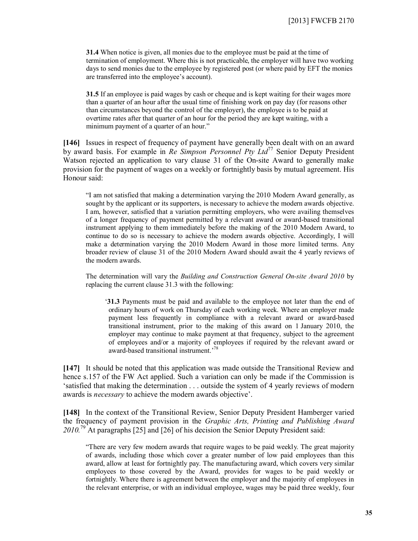**31.4** When notice is given, all monies due to the employee must be paid at the time of termination of employment. Where this is not practicable, the employer will have two working days to send monies due to the employee by registered post (or where paid by EFT the monies are transferred into the employee's account).

**31.5** If an employee is paid wages by cash or cheque and is kept waiting for their wages more than a quarter of an hour after the usual time of finishing work on pay day (for reasons other than circumstances beyond the control of the employer), the employee is to be paid at overtime rates after that quarter of an hour for the period they are kept waiting, with a minimum payment of a quarter of an hour."

**[146]** Issues in respect of frequency of payment have generally been dealt with on an award by award basis. For example in *Re Simpson Personnel Pty Ltd*<sup>77</sup> Senior Deputy President Watson rejected an application to vary clause 31 of the On-site Award to generally make provision for the payment of wages on a weekly or fortnightly basis by mutual agreement. His Honour said:

"I am not satisfied that making a determination varying the 2010 Modern Award generally, as sought by the applicant or its supporters, is necessary to achieve the modern awards objective. I am, however, satisfied that a variation permitting employers, who were availing themselves of a longer frequency of payment permitted by a relevant award or award-based transitional instrument applying to them immediately before the making of the 2010 Modern Award, to continue to do so is necessary to achieve the modern awards objective. Accordingly, I will make a determination varying the 2010 Modern Award in those more limited terms. Any broader review of clause 31 of the 2010 Modern Award should await the 4 yearly reviews of the modern awards.

The determination will vary the *Building and Construction General On-site Award 2010* by replacing the current clause 31.3 with the following:

'**31.3** Payments must be paid and available to the employee not later than the end of ordinary hours of work on Thursday of each working week. Where an employer made payment less frequently in compliance with a relevant award or award-based transitional instrument, prior to the making of this award on 1 January 2010, the employer may continue to make payment at that frequency, subject to the agreement of employees and/or a majority of employees if required by the relevant award or award-based transitional instrument.' 78

**[147]** It should be noted that this application was made outside the Transitional Review and hence s.157 of the FW Act applied. Such a variation can only be made if the Commission is 'satisfied that making the determination . . . outside the system of 4 yearly reviews of modern awards is *necessary* to achieve the modern awards objective'.

**[148]** In the context of the Transitional Review, Senior Deputy President Hamberger varied the frequency of payment provision in the *Graphic Arts, Printing and Publishing Award 2010.*<sup>79</sup> At paragraphs [25] and [26] of his decision the Senior Deputy President said:

"There are very few modern awards that require wages to be paid weekly. The great majority of awards, including those which cover a greater number of low paid employees than this award, allow at least for fortnightly pay. The manufacturing award, which covers very similar employees to those covered by the Award, provides for wages to be paid weekly or fortnightly. Where there is agreement between the employer and the majority of employees in the relevant enterprise, or with an individual employee, wages may be paid three weekly, four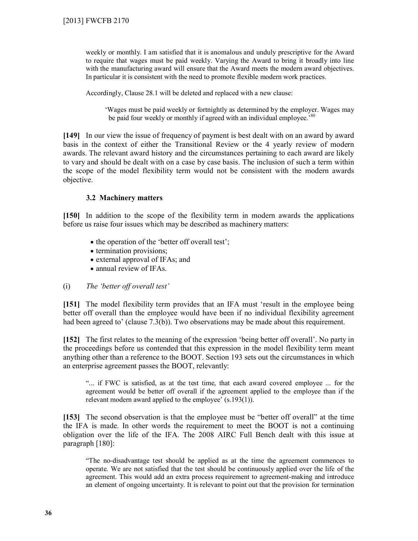weekly or monthly. I am satisfied that it is anomalous and unduly prescriptive for the Award to require that wages must be paid weekly. Varying the Award to bring it broadly into line with the manufacturing award will ensure that the Award meets the modern award objectives. In particular it is consistent with the need to promote flexible modern work practices.

Accordingly, Clause 28.1 will be deleted and replaced with a new clause:

'Wages must be paid weekly or fortnightly as determined by the employer. Wages may be paid four weekly or monthly if agreed with an individual employee.<sup>80</sup>

**[149]** In our view the issue of frequency of payment is best dealt with on an award by award basis in the context of either the Transitional Review or the 4 yearly review of modern awards. The relevant award history and the circumstances pertaining to each award are likely to vary and should be dealt with on a case by case basis. The inclusion of such a term within the scope of the model flexibility term would not be consistent with the modern awards objective.

## **3.2 Machinery matters**

**[150]** In addition to the scope of the flexibility term in modern awards the applications before us raise four issues which may be described as machinery matters:

- the operation of the 'better off overall test';
- termination provisions;
- external approval of IFAs; and
- annual review of IFAs.

## (i) *The 'better off overall test'*

**[151]** The model flexibility term provides that an IFA must 'result in the employee being better off overall than the employee would have been if no individual flexibility agreement had been agreed to' (clause 7.3(b)). Two observations may be made about this requirement.

**[152]** The first relates to the meaning of the expression 'being better off overall'. No party in the proceedings before us contended that this expression in the model flexibility term meant anything other than a reference to the BOOT. Section 193 sets out the circumstances in which an enterprise agreement passes the BOOT, relevantly:

"... if FWC is satisfied, as at the test time, that each award covered employee ... for the agreement would be better off overall if the agreement applied to the employee than if the relevant modern award applied to the employee' (s.193(1)).

**[153]** The second observation is that the employee must be "better off overall" at the time the IFA is made. In other words the requirement to meet the BOOT is not a continuing obligation over the life of the IFA. The 2008 AIRC Full Bench dealt with this issue at paragraph [180]:

"The no-disadvantage test should be applied as at the time the agreement commences to operate. We are not satisfied that the test should be continuously applied over the life of the agreement. This would add an extra process requirement to agreement-making and introduce an element of ongoing uncertainty. It is relevant to point out that the provision for termination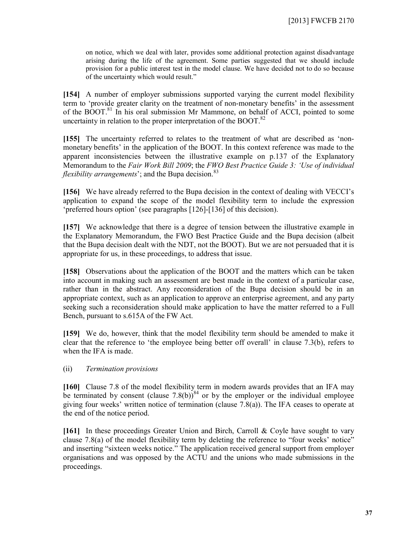on notice, which we deal with later, provides some additional protection against disadvantage arising during the life of the agreement. Some parties suggested that we should include provision for a public interest test in the model clause. We have decided not to do so because of the uncertainty which would result."

**[154]** A number of employer submissions supported varying the current model flexibility term to 'provide greater clarity on the treatment of non-monetary benefits' in the assessment of the BOOT.<sup>81</sup> In his oral submission Mr Mammone, on behalf of ACCI, pointed to some uncertainty in relation to the proper interpretation of the BOOT. $^{82}$ 

**[155]** The uncertainty referred to relates to the treatment of what are described as 'nonmonetary benefits' in the application of the BOOT. In this context reference was made to the apparent inconsistencies between the illustrative example on p.137 of the Explanatory Memorandum to the *Fair Work Bill 2009*; the *FWO Best Practice Guide 3: 'Use of individual flexibility arrangements*'; and the Bupa decision.<sup>83</sup>

**[156]** We have already referred to the Bupa decision in the context of dealing with VECCI's application to expand the scope of the model flexibility term to include the expression 'preferred hours option' (see paragraphs [126]-[136] of this decision).

**[157]** We acknowledge that there is a degree of tension between the illustrative example in the Explanatory Memorandum, the FWO Best Practice Guide and the Bupa decision (albeit that the Bupa decision dealt with the NDT, not the BOOT). But we are not persuaded that it is appropriate for us, in these proceedings, to address that issue.

**[158]** Observations about the application of the BOOT and the matters which can be taken into account in making such an assessment are best made in the context of a particular case, rather than in the abstract. Any reconsideration of the Bupa decision should be in an appropriate context, such as an application to approve an enterprise agreement, and any party seeking such a reconsideration should make application to have the matter referred to a Full Bench, pursuant to s.615A of the FW Act.

**[159]** We do, however, think that the model flexibility term should be amended to make it clear that the reference to 'the employee being better off overall' in clause 7.3(b), refers to when the IFA is made.

## (ii) *Termination provisions*

**[160]** Clause 7.8 of the model flexibility term in modern awards provides that an IFA may be terminated by consent (clause  $7.8(b)$ )<sup>84</sup> or by the employer or the individual employee giving four weeks' written notice of termination (clause 7.8(a)). The IFA ceases to operate at the end of the notice period.

**[161]** In these proceedings Greater Union and Birch, Carroll & Coyle have sought to vary clause 7.8(a) of the model flexibility term by deleting the reference to "four weeks' notice" and inserting "sixteen weeks notice." The application received general support from employer organisations and was opposed by the ACTU and the unions who made submissions in the proceedings.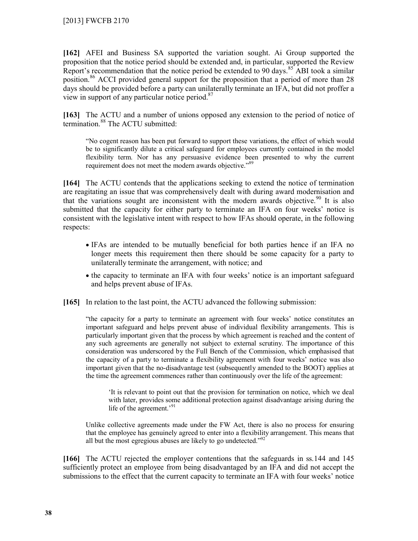**[162]** AFEI and Business SA supported the variation sought. Ai Group supported the proposition that the notice period should be extended and, in particular, supported the Review Report's recommendation that the notice period be extended to 90 days.<sup>85</sup> ABI took a similar position.<sup>86</sup> ACCI provided general support for the proposition that a period of more than 28 days should be provided before a party can unilaterally terminate an IFA, but did not proffer a view in support of any particular notice period.<sup>87</sup>

**[163]** The ACTU and a number of unions opposed any extension to the period of notice of termination.<sup>88</sup> The ACTU submitted:

"No cogent reason has been put forward to support these variations, the effect of which would be to significantly dilute a critical safeguard for employees currently contained in the model flexibility term. Nor has any persuasive evidence been presented to why the current requirement does not meet the modern awards objective."<sup>89</sup>

**[164]** The ACTU contends that the applications seeking to extend the notice of termination are reagitating an issue that was comprehensively dealt with during award modernisation and that the variations sought are inconsistent with the modern awards objective.<sup>90</sup> It is also submitted that the capacity for either party to terminate an IFA on four weeks' notice is consistent with the legislative intent with respect to how IFAs should operate, in the following respects:

- IFAs are intended to be mutually beneficial for both parties hence if an IFA no longer meets this requirement then there should be some capacity for a party to unilaterally terminate the arrangement, with notice; and
- the capacity to terminate an IFA with four weeks' notice is an important safeguard and helps prevent abuse of IFAs.
- **[165]** In relation to the last point, the ACTU advanced the following submission:

"the capacity for a party to terminate an agreement with four weeks' notice constitutes an important safeguard and helps prevent abuse of individual flexibility arrangements. This is particularly important given that the process by which agreement is reached and the content of any such agreements are generally not subject to external scrutiny. The importance of this consideration was underscored by the Full Bench of the Commission, which emphasised that the capacity of a party to terminate a flexibility agreement with four weeks' notice was also important given that the no-disadvantage test (subsequently amended to the BOOT) applies at the time the agreement commences rather than continuously over the life of the agreement:

'It is relevant to point out that the provision for termination on notice, which we deal with later, provides some additional protection against disadvantage arising during the life of the agreement.'<sup>91</sup>

Unlike collective agreements made under the FW Act, there is also no process for ensuring that the employee has genuinely agreed to enter into a flexibility arrangement. This means that all but the most egregious abuses are likely to go undetected."<sup>92</sup>

**[166]** The ACTU rejected the employer contentions that the safeguards in ss.144 and 145 sufficiently protect an employee from being disadvantaged by an IFA and did not accept the submissions to the effect that the current capacity to terminate an IFA with four weeks' notice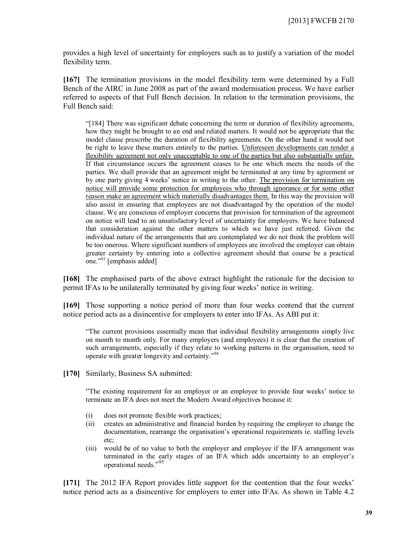provides a high level of uncertainty for employers such as to justify a variation of the model flexibility term.

**[167]** The termination provisions in the model flexibility term were determined by a Full Bench of the AIRC in June 2008 as part of the award modernisation process. We have earlier referred to aspects of that Full Bench decision. In relation to the termination provisions, the Full Bench said:

"[184] There was significant debate concerning the term or duration of flexibility agreements, how they might be brought to an end and related matters. It would not be appropriate that the model clause prescribe the duration of flexibility agreements. On the other hand it would not be right to leave these matters entirely to the parties. Unforeseen developments can render a flexibility agreement not only unacceptable to one of the parties but also substantially unfair. If that circumstance occurs the agreement ceases to be one which meets the needs of the parties. We shall provide that an agreement might be terminated at any time by agreement or by one party giving 4 weeks' notice in writing to the other. The provision for termination on notice will provide some protection for employees who through ignorance or for some other reason make an agreement which materially disadvantages them. In this way the provision will also assist in ensuring that employees are not disadvantaged by the operation of the model clause. We are conscious of employer concerns that provision for termination of the agreement on notice will lead to an unsatisfactory level of uncertainty for employers. We have balanced that consideration against the other matters to which we have just referred. Given the individual nature of the arrangements that are contemplated we do not think the problem will be too onerous. Where significant numbers of employees are involved the employer can obtain greater certainty by entering into a collective agreement should that course be a practical one."<sup>93</sup> [emphasis added]

**[168]** The emphasised parts of the above extract highlight the rationale for the decision to permit IFAs to be unilaterally terminated by giving four weeks' notice in writing.

**[169]** Those supporting a notice period of more than four weeks contend that the current notice period acts as a disincentive for employers to enter into IFAs. As ABI put it:

"The current provisions essentially mean that individual flexibility arrangements simply live on month to month only. For many employers (and employees) it is clear that the creation of such arrangements, especially if they relate to working patterns in the organisation, need to operate with greater longevity and certainty."<sup>94</sup>

**[170]** Similarly, Business SA submitted:

"The existing requirement for an employer or an employee to provide four weeks' notice to terminate an IFA does not meet the Modern Award objectives because it:

- (i) does not promote flexible work practices;
- (ii) creates an administrative and financial burden by requiring the employer to change the documentation, rearrange the organisation's operational requirements ie. staffing levels etc;
- (iii) would be of no value to both the employer and employee if the IFA arrangement was terminated in the early stages of an IFA which adds uncertainty to an employer's operational needs." 95

**[171]** The 2012 IFA Report provides little support for the contention that the four weeks' notice period acts as a disincentive for employers to enter into IFAs. As shown in Table 4.2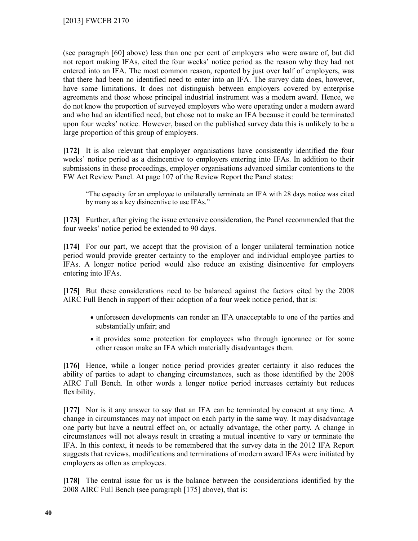(see paragraph [60] above) less than one per cent of employers who were aware of, but did not report making IFAs, cited the four weeks' notice period as the reason why they had not entered into an IFA. The most common reason, reported by just over half of employers, was that there had been no identified need to enter into an IFA. The survey data does, however, have some limitations. It does not distinguish between employers covered by enterprise agreements and those whose principal industrial instrument was a modern award. Hence, we do not know the proportion of surveyed employers who were operating under a modern award and who had an identified need, but chose not to make an IFA because it could be terminated upon four weeks' notice. However, based on the published survey data this is unlikely to be a large proportion of this group of employers.

**[172]** It is also relevant that employer organisations have consistently identified the four weeks' notice period as a disincentive to employers entering into IFAs. In addition to their submissions in these proceedings, employer organisations advanced similar contentions to the FW Act Review Panel. At page 107 of the Review Report the Panel states:

"The capacity for an employee to unilaterally terminate an IFA with 28 days notice was cited by many as a key disincentive to use IFAs."

**[173]** Further, after giving the issue extensive consideration, the Panel recommended that the four weeks' notice period be extended to 90 days.

**[174]** For our part, we accept that the provision of a longer unilateral termination notice period would provide greater certainty to the employer and individual employee parties to IFAs. A longer notice period would also reduce an existing disincentive for employers entering into IFAs.

**[175]** But these considerations need to be balanced against the factors cited by the 2008 AIRC Full Bench in support of their adoption of a four week notice period, that is:

- unforeseen developments can render an IFA unacceptable to one of the parties and substantially unfair; and
- it provides some protection for employees who through ignorance or for some other reason make an IFA which materially disadvantages them.

**[176]** Hence, while a longer notice period provides greater certainty it also reduces the ability of parties to adapt to changing circumstances, such as those identified by the 2008 AIRC Full Bench. In other words a longer notice period increases certainty but reduces flexibility.

**[177]** Nor is it any answer to say that an IFA can be terminated by consent at any time. A change in circumstances may not impact on each party in the same way. It may disadvantage one party but have a neutral effect on, or actually advantage, the other party. A change in circumstances will not always result in creating a mutual incentive to vary or terminate the IFA. In this context, it needs to be remembered that the survey data in the 2012 IFA Report suggests that reviews, modifications and terminations of modern award IFAs were initiated by employers as often as employees.

**[178]** The central issue for us is the balance between the considerations identified by the 2008 AIRC Full Bench (see paragraph [175] above), that is: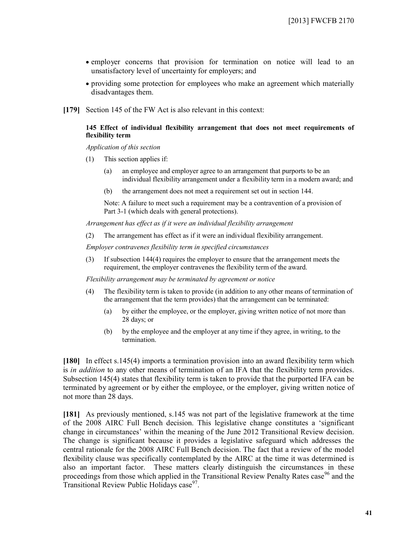- employer concerns that provision for termination on notice will lead to an unsatisfactory level of uncertainty for employers; and
- providing some protection for employees who make an agreement which materially disadvantages them.
- **[179]** Section 145 of the FW Act is also relevant in this context:

#### **145 Effect of individual flexibility arrangement that does not meet requirements of flexibility term**

*Application of this section*

- (1) This section applies if:
	- (a) an employee and employer agree to an arrangement that purports to be an individual flexibility arrangement under a flexibility term in a modern award; and
	- (b) the arrangement does not meet a requirement set out in section 144.

Note: A failure to meet such a requirement may be a contravention of a provision of Part 3-1 (which deals with general protections).

*Arrangement has effect as if it were an individual flexibility arrangement*

(2) The arrangement has effect as if it were an individual flexibility arrangement.

*Employer contravenes flexibility term in specified circumstances*

(3) If subsection 144(4) requires the employer to ensure that the arrangement meets the requirement, the employer contravenes the flexibility term of the award.

*Flexibility arrangement may be terminated by agreement or notice*

- (4) The flexibility term is taken to provide (in addition to any other means of termination of the arrangement that the term provides) that the arrangement can be terminated:
	- (a) by either the employee, or the employer, giving written notice of not more than 28 days; or
	- (b) by the employee and the employer at any time if they agree, in writing, to the termination.

**[180]** In effect s.145(4) imports a termination provision into an award flexibility term which is *in addition* to any other means of termination of an IFA that the flexibility term provides. Subsection 145(4) states that flexibility term is taken to provide that the purported IFA can be terminated by agreement or by either the employee, or the employer, giving written notice of not more than 28 days.

**[181]** As previously mentioned, s.145 was not part of the legislative framework at the time of the 2008 AIRC Full Bench decision. This legislative change constitutes a 'significant change in circumstances' within the meaning of the June 2012 Transitional Review decision. The change is significant because it provides a legislative safeguard which addresses the central rationale for the 2008 AIRC Full Bench decision. The fact that a review of the model flexibility clause was specifically contemplated by the AIRC at the time it was determined is also an important factor. These matters clearly distinguish the circumstances in these proceedings from those which applied in the Transitional Review Penalty Rates case<sup>96</sup> and the Transitional Review Public Holidays case<sup>97</sup>.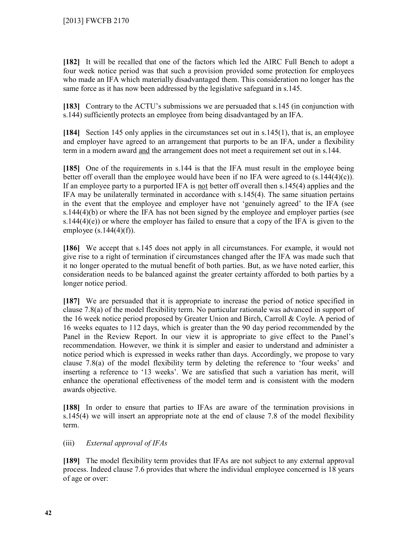**[182]** It will be recalled that one of the factors which led the AIRC Full Bench to adopt a four week notice period was that such a provision provided some protection for employees who made an IFA which materially disadvantaged them. This consideration no longer has the same force as it has now been addressed by the legislative safeguard in s.145.

**[183]** Contrary to the ACTU's submissions we are persuaded that s.145 (in conjunction with s.144) sufficiently protects an employee from being disadvantaged by an IFA.

**[184]** Section 145 only applies in the circumstances set out in s.145(1), that is, an employee and employer have agreed to an arrangement that purports to be an IFA, under a flexibility term in a modern award and the arrangement does not meet a requirement set out in s.144.

**[185]** One of the requirements in s.144 is that the IFA must result in the employee being better off overall than the employee would have been if no IFA were agreed to  $(s.144(4)(c))$ . If an employee party to a purported IFA is not better off overall then s.145(4) applies and the IFA may be unilaterally terminated in accordance with s.145(4). The same situation pertains in the event that the employee and employer have not 'genuinely agreed' to the IFA (see s.144(4)(b) or where the IFA has not been signed by the employee and employer parties (see s.144(4)(e)) or where the employer has failed to ensure that a copy of the IFA is given to the employee  $(s.144(4)(f))$ .

**[186]** We accept that s.145 does not apply in all circumstances. For example, it would not give rise to a right of termination if circumstances changed after the IFA was made such that it no longer operated to the mutual benefit of both parties. But, as we have noted earlier, this consideration needs to be balanced against the greater certainty afforded to both parties by a longer notice period.

**[187]** We are persuaded that it is appropriate to increase the period of notice specified in clause 7.8(a) of the model flexibility term. No particular rationale was advanced in support of the 16 week notice period proposed by Greater Union and Birch, Carroll & Coyle. A period of 16 weeks equates to 112 days, which is greater than the 90 day period recommended by the Panel in the Review Report. In our view it is appropriate to give effect to the Panel's recommendation. However, we think it is simpler and easier to understand and administer a notice period which is expressed in weeks rather than days. Accordingly, we propose to vary clause 7.8(a) of the model flexibility term by deleting the reference to 'four weeks' and inserting a reference to '13 weeks'. We are satisfied that such a variation has merit, will enhance the operational effectiveness of the model term and is consistent with the modern awards objective.

**[188]** In order to ensure that parties to IFAs are aware of the termination provisions in s.145(4) we will insert an appropriate note at the end of clause 7.8 of the model flexibility term.

## (iii) *External approval of IFAs*

**[189]** The model flexibility term provides that IFAs are not subject to any external approval process. Indeed clause 7.6 provides that where the individual employee concerned is 18 years of age or over: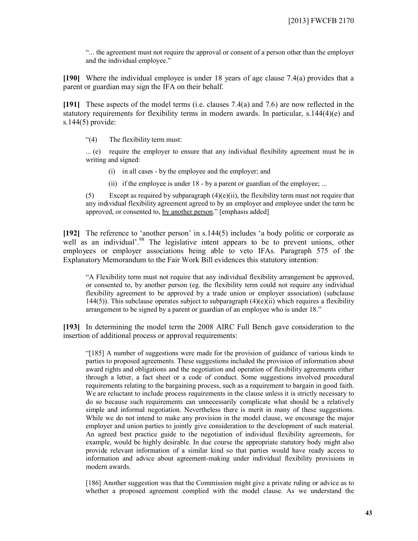"... the agreement must not require the approval or consent of a person other than the employer and the individual employee."

**[190]** Where the individual employee is under 18 years of age clause 7.4(a) provides that a parent or guardian may sign the IFA on their behalf.

**[191]** These aspects of the model terms (i.e. clauses 7.4(a) and 7.6) are now reflected in the statutory requirements for flexibility terms in modern awards. In particular, s.144(4)(e) and s.144(5) provide:

"(4) The flexibility term must:

... (e) require the employer to ensure that any individual flexibility agreement must be in writing and signed:

- (i) in all cases by the employee and the employer; and
- (ii) if the employee is under 18 by a parent or guardian of the employee; ...

(5) Except as required by subparagraph  $(4)(e)(ii)$ , the flexibility term must not require that any individual flexibility agreement agreed to by an employer and employee under the term be approved, or consented to, by another person." [emphasis added]

**[192]** The reference to 'another person' in s.144(5) includes 'a body politic or corporate as well as an individual'.<sup>98</sup> The legislative intent appears to be to prevent unions, other employees or employer associations being able to veto IFAs. Paragraph 575 of the Explanatory Memorandum to the Fair Work Bill evidences this statutory intention:

"A Flexibility term must not require that any individual flexibility arrangement be approved, or consented to, by another person (eg. the flexibility term could not require any individual flexibility agreement to be approved by a trade union or employer association) (subclause 144(5)). This subclause operates subject to subparagraph  $(4)(e)(ii)$  which requires a flexibility arrangement to be signed by a parent or guardian of an employee who is under 18."

**[193]** In determining the model term the 2008 AIRC Full Bench gave consideration to the insertion of additional process or approval requirements:

"[185] A number of suggestions were made for the provision of guidance of various kinds to parties to proposed agreements. These suggestions included the provision of information about award rights and obligations and the negotiation and operation of flexibility agreements either through a letter, a fact sheet or a code of conduct. Some suggestions involved procedural requirements relating to the bargaining process, such as a requirement to bargain in good faith. We are reluctant to include process requirements in the clause unless it is strictly necessary to do so because such requirements can unnecessarily complicate what should be a relatively simple and informal negotiation. Nevertheless there is merit in many of these suggestions. While we do not intend to make any provision in the model clause, we encourage the major employer and union parties to jointly give consideration to the development of such material. An agreed best practice guide to the negotiation of individual flexibility agreements, for example, would be highly desirable. In due course the appropriate statutory body might also provide relevant information of a similar kind so that parties would have ready access to information and advice about agreement-making under individual flexibility provisions in modern awards.

[186] Another suggestion was that the Commission might give a private ruling or advice as to whether a proposed agreement complied with the model clause. As we understand the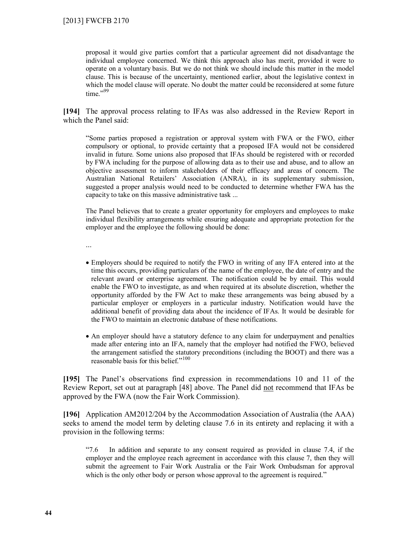proposal it would give parties comfort that a particular agreement did not disadvantage the individual employee concerned. We think this approach also has merit, provided it were to operate on a voluntary basis. But we do not think we should include this matter in the model clause. This is because of the uncertainty, mentioned earlier, about the legislative context in which the model clause will operate. No doubt the matter could be reconsidered at some future time." $99$ 

**[194]** The approval process relating to IFAs was also addressed in the Review Report in which the Panel said:

"Some parties proposed a registration or approval system with FWA or the FWO, either compulsory or optional, to provide certainty that a proposed IFA would not be considered invalid in future. Some unions also proposed that IFAs should be registered with or recorded by FWA including for the purpose of allowing data as to their use and abuse, and to allow an objective assessment to inform stakeholders of their efficacy and areas of concern. The Australian National Retailers' Association (ANRA), in its supplementary submission, suggested a proper analysis would need to be conducted to determine whether FWA has the capacity to take on this massive administrative task ...

The Panel believes that to create a greater opportunity for employers and employees to make individual flexibility arrangements while ensuring adequate and appropriate protection for the employer and the employee the following should be done:

...

- Employers should be required to notify the FWO in writing of any IFA entered into at the time this occurs, providing particulars of the name of the employee, the date of entry and the relevant award or enterprise agreement. The notification could be by email. This would enable the FWO to investigate, as and when required at its absolute discretion, whether the opportunity afforded by the FW Act to make these arrangements was being abused by a particular employer or employers in a particular industry. Notification would have the additional benefit of providing data about the incidence of IFAs. It would be desirable for the FWO to maintain an electronic database of these notifications.
- An employer should have a statutory defence to any claim for underpayment and penalties made after entering into an IFA, namely that the employer had notified the FWO, believed the arrangement satisfied the statutory preconditions (including the BOOT) and there was a reasonable basis for this belief."<sup>100</sup>

**[195]** The Panel's observations find expression in recommendations 10 and 11 of the Review Report, set out at paragraph [48] above. The Panel did not recommend that IFAs be approved by the FWA (now the Fair Work Commission).

**[196]** Application AM2012/204 by the Accommodation Association of Australia (the AAA) seeks to amend the model term by deleting clause 7.6 in its entirety and replacing it with a provision in the following terms:

"7.6 In addition and separate to any consent required as provided in clause 7.4, if the employer and the employee reach agreement in accordance with this clause 7, then they will submit the agreement to Fair Work Australia or the Fair Work Ombudsman for approval which is the only other body or person whose approval to the agreement is required."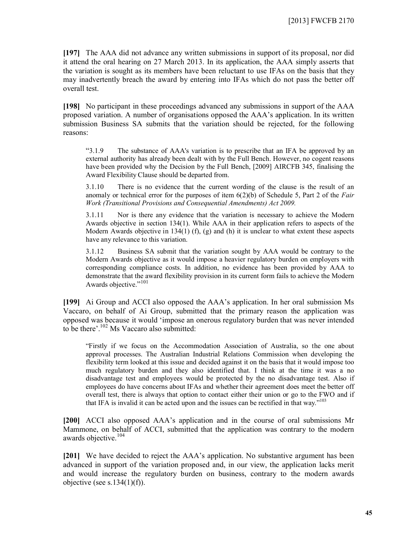**[197]** The AAA did not advance any written submissions in support of its proposal, nor did it attend the oral hearing on 27 March 2013. In its application, the AAA simply asserts that the variation is sought as its members have been reluctant to use IFAs on the basis that they may inadvertently breach the award by entering into IFAs which do not pass the better off overall test.

**[198]** No participant in these proceedings advanced any submissions in support of the AAA proposed variation. A number of organisations opposed the AAA's application. In its written submission Business SA submits that the variation should be rejected, for the following reasons:

"3.1.9 The substance of AAA's variation is to prescribe that an IFA be approved by an external authority has already been dealt with by the Full Bench. However, no cogent reasons have been provided why the Decision by the Full Bench, [2009] AIRCFB 345, finalising the Award Flexibility Clause should be departed from.

3.1.10 There is no evidence that the current wording of the clause is the result of an anomaly or technical error for the purposes of item 6(2)(b) of Schedule 5, Part 2 of the *Fair Work (Transitional Provisions and Consequential Amendments) Act 2009.*

3.1.11 Nor is there any evidence that the variation is necessary to achieve the Modern Awards objective in section 134(1). While AAA in their application refers to aspects of the Modern Awards objective in  $134(1)$  (f), (g) and (h) it is unclear to what extent these aspects have any relevance to this variation.

3.1.12 Business SA submit that the variation sought by AAA would be contrary to the Modern Awards objective as it would impose a heavier regulatory burden on employers with corresponding compliance costs. In addition, no evidence has been provided by AAA to demonstrate that the award flexibility provision in its current form fails to achieve the Modern Awards objective."<sup>101</sup>

**[199]** Ai Group and ACCI also opposed the AAA's application. In her oral submission Ms Vaccaro, on behalf of Ai Group, submitted that the primary reason the application was opposed was because it would 'impose an onerous regulatory burden that was never intended to be there'.<sup>102</sup> Ms Vaccaro also submitted:

"Firstly if we focus on the Accommodation Association of Australia, so the one about approval processes. The Australian Industrial Relations Commission when developing the flexibility term looked at this issue and decided against it on the basis that it would impose too much regulatory burden and they also identified that. I think at the time it was a no disadvantage test and employees would be protected by the no disadvantage test. Also if employees do have concerns about IFAs and whether their agreement does meet the better off overall test, there is always that option to contact either their union or go to the FWO and if that IFA is invalid it can be acted upon and the issues can be rectified in that way."<sup>103</sup>

**[200]** ACCI also opposed AAA's application and in the course of oral submissions Mr Mammone, on behalf of ACCI, submitted that the application was contrary to the modern awards objective.<sup>104</sup>

**[201]** We have decided to reject the AAA's application. No substantive argument has been advanced in support of the variation proposed and, in our view, the application lacks merit and would increase the regulatory burden on business, contrary to the modern awards objective (see s.134(1)(f)).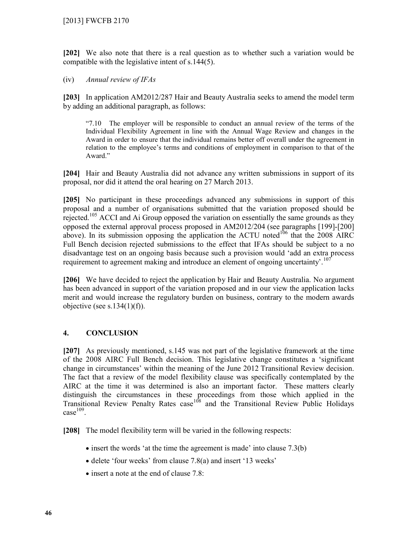**[202]** We also note that there is a real question as to whether such a variation would be compatible with the legislative intent of s.144(5).

## (iv) *Annual review of IFAs*

**[203]** In application AM2012/287 Hair and Beauty Australia seeks to amend the model term by adding an additional paragraph, as follows:

"7.10 The employer will be responsible to conduct an annual review of the terms of the Individual Flexibility Agreement in line with the Annual Wage Review and changes in the Award in order to ensure that the individual remains better off overall under the agreement in relation to the employee's terms and conditions of employment in comparison to that of the Award."

**[204]** Hair and Beauty Australia did not advance any written submissions in support of its proposal, nor did it attend the oral hearing on 27 March 2013.

**[205]** No participant in these proceedings advanced any submissions in support of this proposal and a number of organisations submitted that the variation proposed should be rejected.<sup>105</sup> ACCI and Ai Group opposed the variation on essentially the same grounds as they opposed the external approval process proposed in AM2012/204 (see paragraphs [199]-[200] above). In its submission opposing the application the ACTU noted<sup>106</sup> that the 2008 AIRC Full Bench decision rejected submissions to the effect that IFAs should be subject to a no disadvantage test on an ongoing basis because such a provision would 'add an extra process requirement to agreement making and introduce an element of ongoing uncertainty'.<sup>107</sup>

**[206]** We have decided to reject the application by Hair and Beauty Australia. No argument has been advanced in support of the variation proposed and in our view the application lacks merit and would increase the regulatory burden on business, contrary to the modern awards objective (see s.134(1)(f)).

## **4. CONCLUSION**

**[207]** As previously mentioned, s.145 was not part of the legislative framework at the time of the 2008 AIRC Full Bench decision. This legislative change constitutes a 'significant change in circumstances' within the meaning of the June 2012 Transitional Review decision. The fact that a review of the model flexibility clause was specifically contemplated by the AIRC at the time it was determined is also an important factor. These matters clearly distinguish the circumstances in these proceedings from those which applied in the Transitional Review Penalty Rates case<sup>108</sup> and the Transitional Review Public Holidays  $case<sup>109</sup>$ .

**[208]** The model flexibility term will be varied in the following respects:

- $\bullet$  insert the words 'at the time the agreement is made' into clause 7.3(b)
- delete 'four weeks' from clause 7.8(a) and insert '13 weeks'
- insert a note at the end of clause 7.8: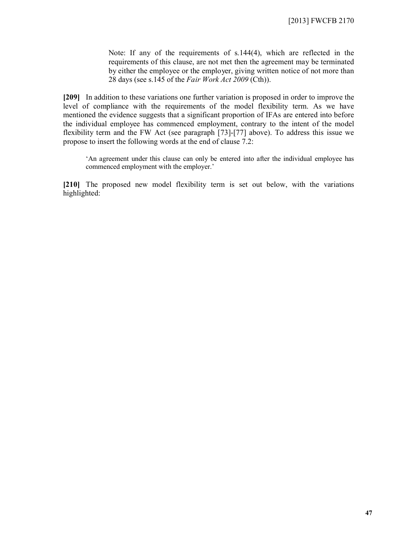Note: If any of the requirements of s.144(4), which are reflected in the requirements of this clause, are not met then the agreement may be terminated by either the employee or the employer, giving written notice of not more than 28 days (see s.145 of the *Fair Work Act 2009* (Cth)).

**[209]** In addition to these variations one further variation is proposed in order to improve the level of compliance with the requirements of the model flexibility term. As we have mentioned the evidence suggests that a significant proportion of IFAs are entered into before the individual employee has commenced employment, contrary to the intent of the model flexibility term and the FW Act (see paragraph [73]-[77] above). To address this issue we propose to insert the following words at the end of clause 7.2:

'An agreement under this clause can only be entered into after the individual employee has commenced employment with the employer.'

**[210]** The proposed new model flexibility term is set out below, with the variations highlighted: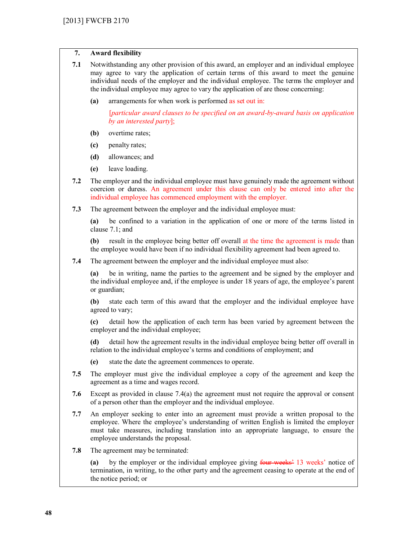## **7. Award flexibility**

| 7.1 | Notwithstanding any other provision of this award, an employer and an individual employee |
|-----|-------------------------------------------------------------------------------------------|
|     | may agree to vary the application of certain terms of this award to meet the genuine      |
|     | individual needs of the employer and the individual employee. The terms the employer and  |
|     | the individual employee may agree to vary the application of are those concerning:        |

**(a)** arrangements for when work is performed as set out in:

[*particular award clauses to be specified on an award-by-award basis on application by an interested party*];

- **(b)** overtime rates;
- **(c)** penalty rates;
- **(d)** allowances; and
- **(e)** leave loading.
- **7.2** The employer and the individual employee must have genuinely made the agreement without coercion or duress. An agreement under this clause can only be entered into after the individual employee has commenced employment with the employer.
- **7.3** The agreement between the employer and the individual employee must:

**(a)** be confined to a variation in the application of one or more of the terms listed in clause 7.1; and

**(b)** result in the employee being better off overall at the time the agreement is made than the employee would have been if no individual flexibility agreement had been agreed to.

**7.4** The agreement between the employer and the individual employee must also:

**(a)** be in writing, name the parties to the agreement and be signed by the employer and the individual employee and, if the employee is under 18 years of age, the employee's parent or guardian;

**(b)** state each term of this award that the employer and the individual employee have agreed to vary;

**(c)** detail how the application of each term has been varied by agreement between the employer and the individual employee;

**(d)** detail how the agreement results in the individual employee being better off overall in relation to the individual employee's terms and conditions of employment; and

- **(e)** state the date the agreement commences to operate.
- **7.5** The employer must give the individual employee a copy of the agreement and keep the agreement as a time and wages record.
- **7.6** Except as provided in clause 7.4(a) the agreement must not require the approval or consent of a person other than the employer and the individual employee.
- **7.7** An employer seeking to enter into an agreement must provide a written proposal to the employee. Where the employee's understanding of written English is limited the employer must take measures, including translation into an appropriate language, to ensure the employee understands the proposal.
- **7.8** The agreement may be terminated:

**(a)** by the employer or the individual employee giving four weeks' 13 weeks' notice of termination, in writing, to the other party and the agreement ceasing to operate at the end of the notice period; or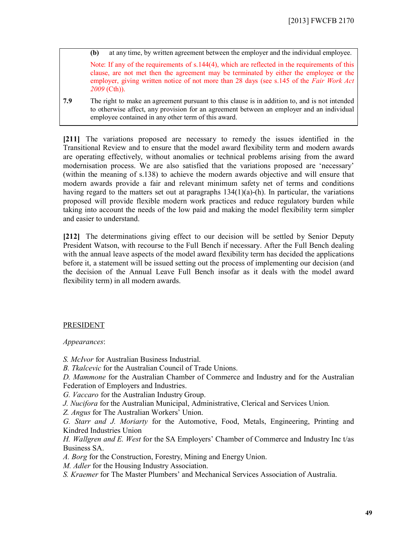**(b)** at any time, by written agreement between the employer and the individual employee.

Note: If any of the requirements of s.144(4), which are reflected in the requirements of this clause, are not met then the agreement may be terminated by either the employee or the employer, giving written notice of not more than 28 days (see s.145 of the *Fair Work Act 2009* (Cth)).

**7.9** The right to make an agreement pursuant to this clause is in addition to, and is not intended to otherwise affect, any provision for an agreement between an employer and an individual employee contained in any other term of this award.

**[211]** The variations proposed are necessary to remedy the issues identified in the Transitional Review and to ensure that the model award flexibility term and modern awards are operating effectively, without anomalies or technical problems arising from the award modernisation process. We are also satisfied that the variations proposed are 'necessary' (within the meaning of s.138) to achieve the modern awards objective and will ensure that modern awards provide a fair and relevant minimum safety net of terms and conditions having regard to the matters set out at paragraphs  $134(1)(a)$ -(h). In particular, the variations proposed will provide flexible modern work practices and reduce regulatory burden while taking into account the needs of the low paid and making the model flexibility term simpler and easier to understand.

**[212]** The determinations giving effect to our decision will be settled by Senior Deputy President Watson, with recourse to the Full Bench if necessary. After the Full Bench dealing with the annual leave aspects of the model award flexibility term has decided the applications before it, a statement will be issued setting out the process of implementing our decision (and the decision of the Annual Leave Full Bench insofar as it deals with the model award flexibility term) in all modern awards.

## PRESIDENT

*Appearances*:

*S. McIvor* for Australian Business Industrial.

*B. Tkalcevic* for the Australian Council of Trade Unions.

*D. Mammone* for the Australian Chamber of Commerce and Industry and for the Australian Federation of Employers and Industries.

*G. Vaccaro* for the Australian Industry Group.

*J. Nucifora* for the Australian Municipal, Administrative, Clerical and Services Union.

*Z. Angus* for The Australian Workers' Union.

*G. Starr and J. Moriarty* for the Automotive, Food, Metals, Engineering, Printing and Kindred Industries Union

*H. Wallgren and E. West* for the SA Employers' Chamber of Commerce and Industry Inc t/as Business SA.

*A. Borg* for the Construction, Forestry, Mining and Energy Union.

*M. Adler* for the Housing Industry Association.

*S. Kraemer* for The Master Plumbers' and Mechanical Services Association of Australia.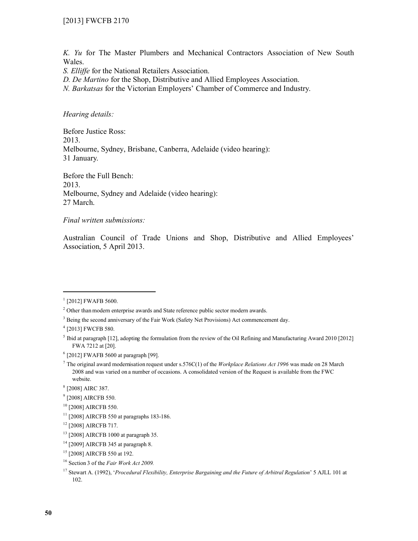*K. Yu* for The Master Plumbers and Mechanical Contractors Association of New South Wales.

*S. Elliffe* for the National Retailers Association.

*D. De Martino* for the Shop, Distributive and Allied Employees Association.

*N. Barkatsas* for the Victorian Employers' Chamber of Commerce and Industry.

## *Hearing details:*

Before Justice Ross: 2013. Melbourne, Sydney, Brisbane, Canberra, Adelaide (video hearing): 31 January.

Before the Full Bench: 2013. Melbourne, Sydney and Adelaide (video hearing): 27 March.

#### *Final written submissions:*

Australian Council of Trade Unions and Shop, Distributive and Allied Employees' Association, 5 April 2013.

 $\overline{a}$ 

<sup>&</sup>lt;sup>1</sup> [2012] FWAFB 5600.

<sup>&</sup>lt;sup>2</sup> Other than modern enterprise awards and State reference public sector modern awards.

<sup>&</sup>lt;sup>3</sup> Being the second anniversary of the Fair Work (Safety Net Provisions) Act commencement day.

<sup>4</sup> [2013] FWCFB 580.

 $<sup>5</sup>$  Ibid at paragraph [12], adopting the formulation from the review of the Oil Refining and Manufacturing Award 2010 [2012]</sup> FWA 7212 at [20].

<sup>6</sup> [2012] FWAFB 5600 at paragraph [99].

<sup>7</sup> The original award modernisation request under s.576C(1) of the *Workplace Relations Act 1996* was made on 28 March 2008 and was varied on a number of occasions. A consolidated version of the Request is available from the FWC website.

<sup>8</sup> [2008] AIRC 387.

<sup>&</sup>lt;sup>9</sup> [2008] AIRCFB 550.

<sup>10</sup> [2008] AIRCFB 550.

 $11$  [2008] AIRCFB 550 at paragraphs 183-186.

<sup>12</sup> [2008] AIRCFB 717.

<sup>13</sup> [2008] AIRCFB 1000 at paragraph 35.

<sup>14</sup> [2009] AIRCFB 345 at paragraph 8.

<sup>&</sup>lt;sup>15</sup> [2008] AIRCFB 550 at 192.

<sup>16</sup> Section 3 of the *Fair Work Act 2009.*

<sup>17</sup> Stewart A. (1992), '*Procedural Flexibility, Enterprise Bargaining and the Future of Arbitral Regulation*' 5 AJLL 101 at 102.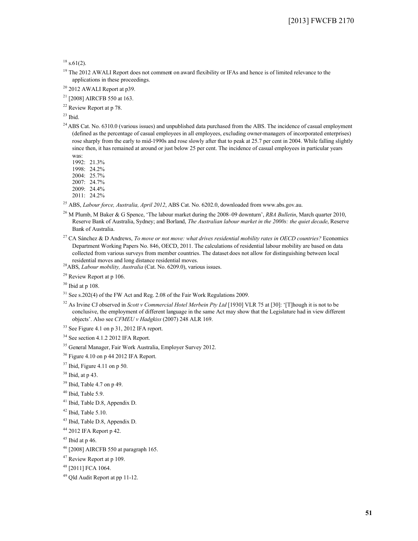$18$  s.61(2).

<sup>19</sup> The 2012 AWALI Report does not comment on award flexibility or IFAs and hence is of limited relevance to the applications in these proceedings.

<sup>20</sup> 2012 AWALI Report at p39.

<sup>21</sup> [2008] AIRCFB 550 at 163.

<sup>22</sup> Review Report at p 78.

 $23$  Ibid.

 $24$  ABS Cat. No. 6310.0 (various issues) and unpublished data purchased from the ABS. The incidence of casual employment (defined as the percentage of casual employees in all employees, excluding owner-managers of incorporated enterprises) rose sharply from the early to mid-1990s and rose slowly after that to peak at 25.7 per cent in 2004. While falling slightly since then, it has remained at around or just below 25 per cent. The incidence of casual employees in particular years was:

1992: 21.3%

1998: 24.2%

2004: 25.7%

2007: 24.7% 2009: 24.4%

2011: 24.2%

<sup>25</sup> ABS, *Labour force, Australia, April 2012*, ABS Cat. No. 6202.0, downloaded from www.abs.gov.au.

<sup>26</sup> M Plumb, M Baker & G Spence, 'The labour market during the 2008–09 downturn', *RBA Bulletin*, March quarter 2010, Reserve Bank of Australia, Sydney; and Borland, *The Australian labour market in the 2000s: the quiet decade*, Reserve Bank of Australia.

<sup>27</sup> CA Sánchez & D Andrews, *To move or not move: what drives residential mobility rates in OECD countries?* Economics Department Working Papers No. 846, OECD, 2011. The calculations of residential labour mobility are based on data collected from various surveys from member countries. The dataset does not allow for distinguishing between local residential moves and long distance residential moves.

<sup>28</sup>ABS, *Labour mobility, Australia* (Cat. No. 6209.0), various issues.

<sup>29</sup> Review Report at p 106.

<sup>30</sup> Ibid at p 108.

<sup>31</sup> See s.202(4) of the FW Act and Reg. 2.08 of the Fair Work Regulations 2009.

<sup>32</sup> As Irvine CJ observed in *Scott v Commercial Hotel Merbein Pty Ltd* [1930] VLR 75 at [30]: '[T]hough it is not to be conclusive, the employment of different language in the same Act may show that the Legislature had in view different objects'. Also see *CFMEU v Hadgkiss* (2007) 248 ALR 169.

<sup>33</sup> See Figure 4.1 on p 31, 2012 IFA report.

<sup>34</sup> See section 4.1.2 2012 IFA Report.

<sup>35</sup> General Manager, Fair Work Australia, Employer Survey 2012.

<sup>36</sup> Figure 4.10 on p 44 2012 IFA Report.

 $37$  Ibid, Figure 4.11 on p 50.

 $38$  Ibid, at p 43.

<sup>39</sup> Ibid, Table 4.7 on p 49.

 $40$  Ibid, Table 5.9.

<sup>41</sup> Ibid, Table D.8, Appendix D.

 $42$  Ibid, Table 5.10.

<sup>43</sup> Ibid, Table D.8, Appendix D.

<sup>44</sup> 2012 IFA Report p 42.

 $45$  Ibid at p 46.

<sup>46</sup> [2008] AIRCFB 550 at paragraph 165.

<sup>47</sup> Review Report at p 109.

<sup>48</sup> [2011] FCA 1064.

<sup>49</sup> Qld Audit Report at pp 11-12.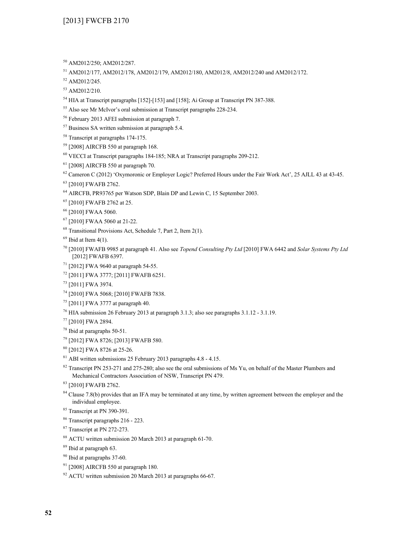- AM2012/250; AM2012/287.
- AM2012/177, AM2012/178, AM2012/179, AM2012/180, AM2012/8, AM2012/240 and AM2012/172.
- AM2012/245.
- AM2012/210.
- <sup>54</sup> HIA at Transcript paragraphs [152]-[153] and [158]; Ai Group at Transcript PN 387-388.
- Also see Mr McIvor's oral submission at Transcript paragraphs 228-234.
- February 2013 AFEI submission at paragraph 7.
- Business SA written submission at paragraph 5.4.
- Transcript at paragraphs 174-175.
- [2008] AIRCFB 550 at paragraph 168.
- VECCI at Transcript paragraphs 184-185; NRA at Transcript paragraphs 209-212.
- [2008] AIRCFB 550 at paragraph 70.
- <sup>62</sup> Cameron C (2012) 'Oxymoronic or Employer Logic? Preferred Hours under the Fair Work Act', 25 AJLL 43 at 43-45.
- [2010] FWAFB 2762.
- AIRCFB, PR93765 per Watson SDP, Blain DP and Lewin C, 15 September 2003.
- [2010] FWAFB 2762 at 25.
- [2010] FWAA 5060.
- [2010] FWAA 5060 at 21-22.
- Transitional Provisions Act, Schedule 7, Part 2, Item 2(1).
- Ibid at Item 4(1).
- [2010] FWAFB 9985 at paragraph 41. Also see *Topend Consulting Pty Ltd* [2010] FWA 6442 and *Solar Systems Pty Ltd* [2012] FWAFB 6397.
- [2012] FWA 9640 at paragraph 54-55.
- [2011] FWA 3777; [2011] FWAFB 6251.
- [2011] FWA 3974.
- [2010] FWA 5068; [2010] FWAFB 7838.
- [2011] FWA 3777 at paragraph 40.
- HIA submission 26 February 2013 at paragraph 3.1.3; also see paragraphs 3.1.12 3.1.19.
- [2010] FWA 2894.
- Ibid at paragraphs 50-51.
- [2012] FWA 8726; [2013] FWAFB 580.
- [2012] FWA 8726 at 25-26.
- ABI written submissions 25 February 2013 paragraphs 4.8 4.15.
- <sup>82</sup> Transcript PN 253-271 and 275-280; also see the oral submissions of Ms Yu, on behalf of the Master Plumbers and Mechanical Contractors Association of NSW, Transcript PN 479.
- [2010] FWAFB 2762.
- <sup>84</sup> Clause 7.8(b) provides that an IFA may be terminated at any time, by written agreement between the employer and the individual employee.
- Transcript at PN 390-391.
- Transcript paragraphs 216 223.
- Transcript at PN 272-273.
- ACTU written submission 20 March 2013 at paragraph 61-70.
- Ibid at paragraph 63.
- Ibid at paragraphs 37-60.
- [2008] AIRCFB 550 at paragraph 180.
- ACTU written submission 20 March 2013 at paragraphs 66-67.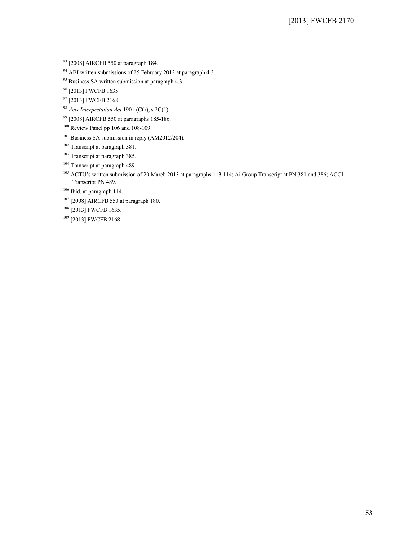<sup>93</sup> [2008] AIRCFB 550 at paragraph 184.

 $94$  ABI written submissions of 25 February 2012 at paragraph 4.3.

<sup>95</sup> Business SA written submission at paragraph 4.3.

<sup>96</sup> [2013] FWCFB 1635.

<sup>97</sup> [2013] FWCFB 2168.

<sup>98</sup> *Acts Interpretation Act* 1901 (Cth), s.2C(1).

<sup>99</sup> [2008] AIRCFB 550 at paragraphs 185-186.

<sup>100</sup> Review Panel pp 106 and 108-109.

<sup>101</sup> Business SA submission in reply (AM2012/204).

<sup>102</sup> Transcript at paragraph 381.

<sup>103</sup> Transcript at paragraph 385.

<sup>104</sup> Transcript at paragraph 489.

<sup>105</sup> ACTU's written submission of 20 March 2013 at paragraphs 113-114; Ai Group Transcript at PN 381 and 386; ACCI Transcript PN 489.

<sup>106</sup> Ibid, at paragraph 114.

<sup>107</sup> [2008] AIRCFB 550 at paragraph 180.

<sup>108</sup> [2013] FWCFB 1635.

<sup>109</sup> [2013] FWCFB 2168.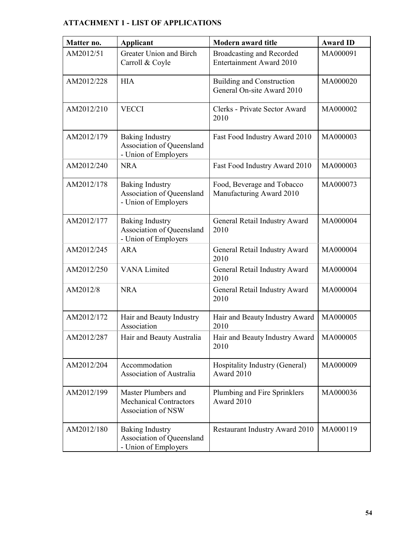# **ATTACHMENT 1 - LIST OF APPLICATIONS**

| Matter no. | <b>Applicant</b>                                                            | <b>Modern award title</b>                                      | <b>Award ID</b> |
|------------|-----------------------------------------------------------------------------|----------------------------------------------------------------|-----------------|
| AM2012/51  | Greater Union and Birch<br>Carroll & Coyle                                  | <b>Broadcasting and Recorded</b><br>Entertainment Award 2010   | MA000091        |
| AM2012/228 | <b>HIA</b>                                                                  | <b>Building and Construction</b><br>General On-site Award 2010 | MA000020        |
| AM2012/210 | <b>VECCI</b>                                                                | Clerks - Private Sector Award<br>2010                          | MA000002        |
| AM2012/179 | <b>Baking Industry</b><br>Association of Queensland<br>- Union of Employers | Fast Food Industry Award 2010                                  | MA000003        |
| AM2012/240 | <b>NRA</b>                                                                  | Fast Food Industry Award 2010                                  | MA000003        |
| AM2012/178 | Baking Industry<br>Association of Queensland<br>- Union of Employers        | Food, Beverage and Tobacco<br>Manufacturing Award 2010         | MA000073        |
| AM2012/177 | <b>Baking Industry</b><br>Association of Queensland<br>- Union of Employers | General Retail Industry Award<br>2010                          | MA000004        |
| AM2012/245 | <b>ARA</b>                                                                  | General Retail Industry Award<br>2010                          | MA000004        |
| AM2012/250 | <b>VANA Limited</b>                                                         | General Retail Industry Award<br>2010                          | MA000004        |
| AM2012/8   | <b>NRA</b>                                                                  | General Retail Industry Award<br>2010                          | MA000004        |
| AM2012/172 | Hair and Beauty Industry<br>Association                                     | Hair and Beauty Industry Award<br>2010                         | MA000005        |
| AM2012/287 | Hair and Beauty Australia                                                   | Hair and Beauty Industry Award<br>2010                         | MA000005        |
| AM2012/204 | Accommodation<br><b>Association of Australia</b>                            | Hospitality Industry (General)<br>Award 2010                   | MA000009        |
| AM2012/199 | Master Plumbers and<br><b>Mechanical Contractors</b><br>Association of NSW  | Plumbing and Fire Sprinklers<br>Award 2010                     | MA000036        |
| AM2012/180 | <b>Baking Industry</b><br>Association of Queensland<br>- Union of Employers | <b>Restaurant Industry Award 2010</b>                          | MA000119        |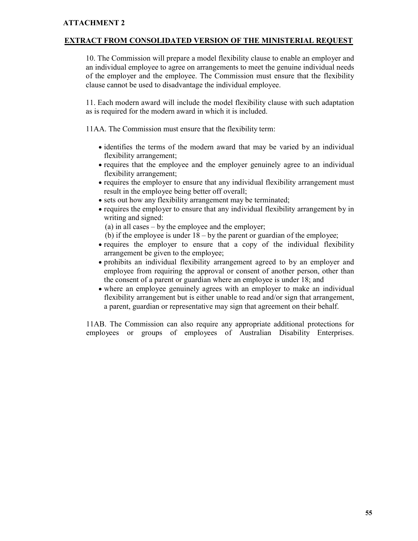## **ATTACHMENT 2**

## **EXTRACT FROM CONSOLIDATED VERSION OF THE MINISTERIAL REQUEST**

10. The Commission will prepare a model flexibility clause to enable an employer and an individual employee to agree on arrangements to meet the genuine individual needs of the employer and the employee. The Commission must ensure that the flexibility clause cannot be used to disadvantage the individual employee.

11. Each modern award will include the model flexibility clause with such adaptation as is required for the modern award in which it is included.

11AA. The Commission must ensure that the flexibility term:

- identifies the terms of the modern award that may be varied by an individual flexibility arrangement;
- requires that the employee and the employer genuinely agree to an individual flexibility arrangement;
- requires the employer to ensure that any individual flexibility arrangement must result in the employee being better off overall;
- sets out how any flexibility arrangement may be terminated;
- requires the employer to ensure that any individual flexibility arrangement by in writing and signed:

(a) in all cases – by the employee and the employer;

(b) if the employee is under  $18 - by$  the parent or guardian of the employee;

- requires the employer to ensure that a copy of the individual flexibility arrangement be given to the employee;
- prohibits an individual flexibility arrangement agreed to by an employer and employee from requiring the approval or consent of another person, other than the consent of a parent or guardian where an employee is under 18; and
- where an employee genuinely agrees with an employer to make an individual flexibility arrangement but is either unable to read and/or sign that arrangement, a parent, guardian or representative may sign that agreement on their behalf.

11AB. The Commission can also require any appropriate additional protections for employees or groups of employees of Australian Disability Enterprises.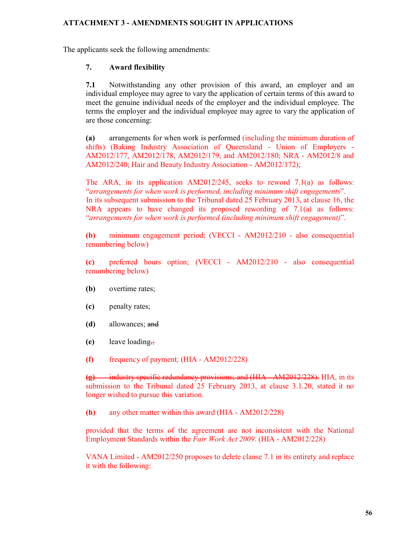## **ATTACHMENT 3 - AMENDMENTS SOUGHT IN APPLICATIONS**

The applicants seek the following amendments:

## **7. Award flexibility**

**7.1** Notwithstanding any other provision of this award, an employer and an individual employee may agree to vary the application of certain terms of this award to meet the genuine individual needs of the employer and the individual employee. The terms the employer and the individual employee may agree to vary the application of are those concerning:

**(a)** arrangements for when work is performed (including the minimum duration of shifts) (Baking Industry Association of Queensland - Union of Employers - AM2012/177, AM2012/178, AM2012/179, and AM2012/180; NRA - AM2012/8 and AM2012/240; Hair and Beauty Industry Association - AM2012/172);

The ARA, in its application AM2012/245, seeks to reword 7.1(a) as follows: "*arrangements for when work is performed, including minimum shift engagements*". In its subsequent submission to the Tribunal dated 25 February 2013, at clause 16, the NRA appears to have changed its proposed rewording of 7.1(a) as follows: "*arrangements for when work is performed (including minimum shift engagement)*".

**(b)** minimum engagement period; (VECCI - AM2012/210 - also consequential renumbering below)

**(c)** preferred hours option; (VECCI - AM2012/210 - also consequential renumbering below)

- **(b)** overtime rates;
- **(c)** penalty rates;
- **(d)** allowances; and
- **(e)** leave loading.;
- **(f)** frequency of payment; (HIA AM2012/228)

**(g)** industry specific redundancy provisions; and (HIA - AM2012/228). HIA, in its submission to the Tribunal dated 25 February 2013, at clause 3.1.20, stated it no longer wished to pursue this variation.

**(h)** any other matter within this award (HIA - AM2012/228)

provided that the terms of the agreement are not inconsistent with the National Employment Standards within the *Fair Work Act 2009*. (HIA - AM2012/228)

VANA Limited - AM2012/250 proposes to delete clause 7.1 in its entirety and replace it with the following: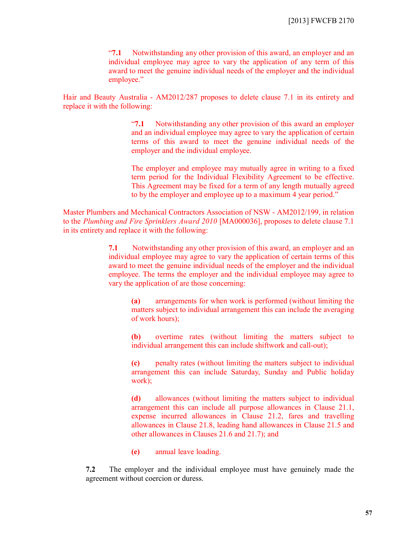"**7.1** Notwithstanding any other provision of this award, an employer and an individual employee may agree to vary the application of any term of this award to meet the genuine individual needs of the employer and the individual employee."

Hair and Beauty Australia - AM2012/287 proposes to delete clause 7.1 in its entirety and replace it with the following:

> "**7.1** Notwithstanding any other provision of this award an employer and an individual employee may agree to vary the application of certain terms of this award to meet the genuine individual needs of the employer and the individual employee.

> The employer and employee may mutually agree in writing to a fixed term period for the Individual Flexibility Agreement to be effective. This Agreement may be fixed for a term of any length mutually agreed to by the employer and employee up to a maximum 4 year period."

Master Plumbers and Mechanical Contractors Association of NSW - AM2012/199, in relation to the *Plumbing and Fire Sprinklers Award 2010* [MA000036], proposes to delete clause 7.1 in its entirety and replace it with the following:

> **7.1** Notwithstanding any other provision of this award, an employer and an individual employee may agree to vary the application of certain terms of this award to meet the genuine individual needs of the employer and the individual employee. The terms the employer and the individual employee may agree to vary the application of are those concerning:

**(a)** arrangements for when work is performed (without limiting the matters subject to individual arrangement this can include the averaging of work hours);

**(b)** overtime rates (without limiting the matters subject to individual arrangement this can include shiftwork and call-out);

**(c)** penalty rates (without limiting the matters subject to individual arrangement this can include Saturday, Sunday and Public holiday work);

**(d)** allowances (without limiting the matters subject to individual arrangement this can include all purpose allowances in Clause 21.1, expense incurred allowances in Clause 21.2, fares and travelling allowances in Clause 21.8, leading hand allowances in Clause 21.5 and other allowances in Clauses 21.6 and 21.7); and

**(e)** annual leave loading.

**7.2** The employer and the individual employee must have genuinely made the agreement without coercion or duress.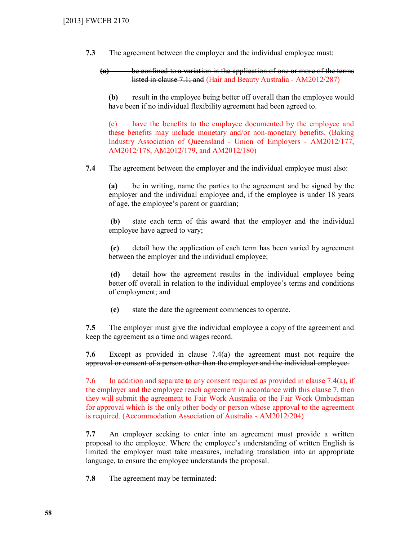**7.3** The agreement between the employer and the individual employee must:

 **(a)** be confined to a variation in the application of one or more of the terms listed in clause 7.1; and (Hair and Beauty Australia - AM2012/287)

**(b)** result in the employee being better off overall than the employee would have been if no individual flexibility agreement had been agreed to.

(c) have the benefits to the employee documented by the employee and these benefits may include monetary and/or non-monetary benefits. (Baking Industry Association of Queensland - Union of Employers - AM2012/177, AM2012/178, AM2012/179, and AM2012/180)

**7.4** The agreement between the employer and the individual employee must also:

**(a)** be in writing, name the parties to the agreement and be signed by the employer and the individual employee and, if the employee is under 18 years of age, the employee's parent or guardian;

**(b)** state each term of this award that the employer and the individual employee have agreed to vary;

**(c)** detail how the application of each term has been varied by agreement between the employer and the individual employee;

**(d)** detail how the agreement results in the individual employee being better off overall in relation to the individual employee's terms and conditions of employment; and

**(e)** state the date the agreement commences to operate.

**7.5** The employer must give the individual employee a copy of the agreement and keep the agreement as a time and wages record.

**7.6** Except as provided in clause 7.4(a) the agreement must not require the approval or consent of a person other than the employer and the individual employee.

7.6 In addition and separate to any consent required as provided in clause  $7.4(a)$ , if the employer and the employee reach agreement in accordance with this clause 7, then they will submit the agreement to Fair Work Australia or the Fair Work Ombudsman for approval which is the only other body or person whose approval to the agreement is required. (Accommodation Association of Australia - AM2012/204)

**7.7** An employer seeking to enter into an agreement must provide a written proposal to the employee. Where the employee's understanding of written English is limited the employer must take measures, including translation into an appropriate language, to ensure the employee understands the proposal.

**7.8** The agreement may be terminated: